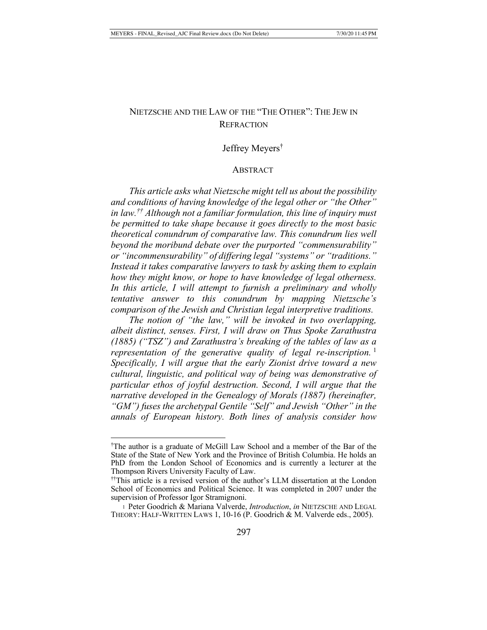# NIETZSCHE AND THE LAW OF THE "THE OTHER": THE JEW IN **REFRACTION**

## Jeffrey Meyers†

### ABSTRACT

*This article asks what Nietzsche might tell us about the possibility and conditions of having knowledge of the legal other or "the Other" in law.†† Although not a familiar formulation, this line of inquiry must be permitted to take shape because it goes directly to the most basic theoretical conundrum of comparative law. This conundrum lies well beyond the moribund debate over the purported "commensurability" or "incommensurability" of differing legal "systems" or "traditions." Instead it takes comparative lawyers to task by asking them to explain how they might know, or hope to have knowledge of legal otherness. In this article, I will attempt to furnish a preliminary and wholly tentative answer to this conundrum by mapping Nietzsche's comparison of the Jewish and Christian legal interpretive traditions.*

*The notion of "the law," will be invoked in two overlapping, albeit distinct, senses. First, I will draw on Thus Spoke Zarathustra (1885) ("TSZ") and Zarathustra's breaking of the tables of law as a representation of the generative quality of legal re-inscription.* <sup>1</sup> *Specifically, I will argue that the early Zionist drive toward a new cultural, linguistic, and political way of being was demonstrative of particular ethos of joyful destruction. Second, I will argue that the narrative developed in the Genealogy of Morals (1887) (hereinafter, "GM") fuses the archetypal Gentile "Self" and Jewish "Other" in the annals of European history. Both lines of analysis consider how* 

<sup>†</sup> The author is a graduate of McGill Law School and a member of the Bar of the State of the State of New York and the Province of British Columbia. He holds an PhD from the London School of Economics and is currently a lecturer at the Thompson Rivers University Faculty of Law. ††This article is a revised version of the author's LLM dissertation at the London

School of Economics and Political Science. It was completed in 2007 under the supervision of Professor Igor Stramignoni.

<sup>1</sup> Peter Goodrich & Mariana Valverde, *Introduction*, *in* NIETZSCHE AND LEGAL THEORY: HALF-WRITTEN LAWS 1, 10-16 (P. Goodrich & M. Valverde eds., 2005).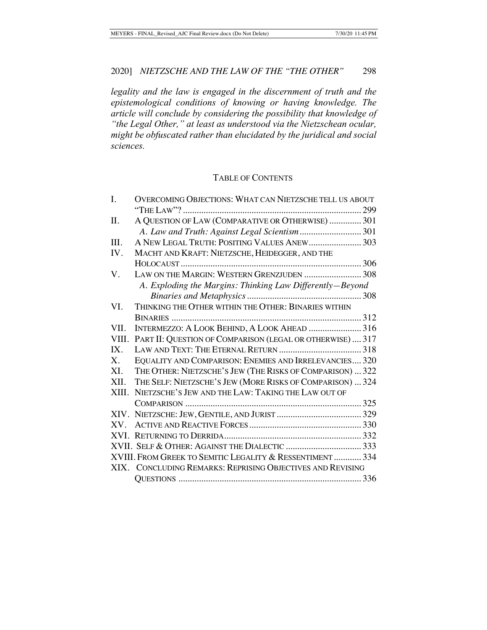*legality and the law is engaged in the discernment of truth and the epistemological conditions of knowing or having knowledge. The article will conclude by considering the possibility that knowledge of "the Legal Other," at least as understood via the Nietzschean ocular, might be obfuscated rather than elucidated by the juridical and social sciences.* 

## TABLE OF CONTENTS

| I.      | <b>OVERCOMING OBJECTIONS: WHAT CAN NIETZSCHE TELL US ABOUT</b> |
|---------|----------------------------------------------------------------|
|         |                                                                |
| Π.      | A QUESTION OF LAW (COMPARATIVE OR OTHERWISE)  301              |
|         |                                                                |
| III.    | A NEW LEGAL TRUTH: POSITING VALUES ANEW 303                    |
| IV.     | MACHT AND KRAFT: NIETZSCHE, HEIDEGGER, AND THE                 |
|         |                                                                |
| V.      | LAW ON THE MARGIN: WESTERN GRENZJUDEN  308                     |
|         | A. Exploding the Margins: Thinking Law Differently-Beyond      |
|         |                                                                |
| VI.     | THINKING THE OTHER WITHIN THE OTHER: BINARIES WITHIN           |
|         |                                                                |
| VII.    | INTERMEZZO: A LOOK BEHIND, A LOOK AHEAD  316                   |
| VIII.   | PART II: QUESTION OF COMPARISON (LEGAL OR OTHERWISE)  317      |
| IX.     |                                                                |
| $X_{-}$ | EQUALITY AND COMPARISON: ENEMIES AND IRRELEVANCIES 320         |
| XI.     | THE OTHER: NIETZSCHE'S JEW (THE RISKS OF COMPARISON)  322      |
| XII.    | THE SELF: NIETZSCHE'S JEW (MORE RISKS OF COMPARISON)  324      |
| XIII.   | NIETZSCHE'S JEW AND THE LAW: TAKING THE LAW OUT OF             |
|         |                                                                |
|         |                                                                |
| XV.     |                                                                |
|         |                                                                |
|         |                                                                |
|         | XVIII. FROM GREEK TO SEMITIC LEGALITY & RESSENTIMENT  334      |
|         | XIX. CONCLUDING REMARKS: REPRISING OBJECTIVES AND REVISING     |
|         |                                                                |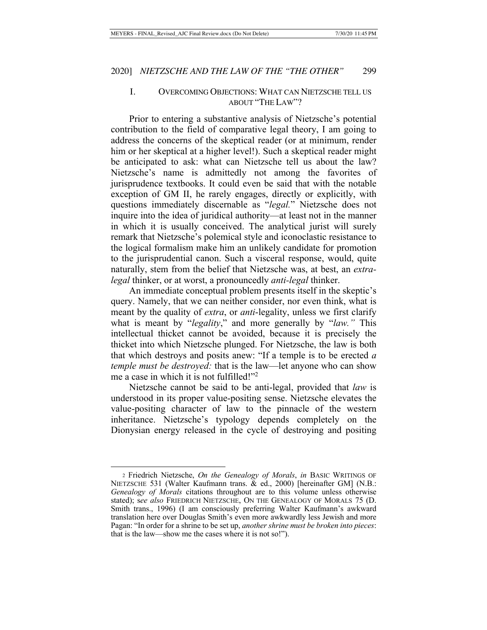## I. OVERCOMING OBJECTIONS: WHAT CAN NIETZSCHE TELL US ABOUT "THE LAW"?

Prior to entering a substantive analysis of Nietzsche's potential contribution to the field of comparative legal theory, I am going to address the concerns of the skeptical reader (or at minimum, render him or her skeptical at a higher level!). Such a skeptical reader might be anticipated to ask: what can Nietzsche tell us about the law? Nietzsche's name is admittedly not among the favorites of jurisprudence textbooks. It could even be said that with the notable exception of GM II, he rarely engages, directly or explicitly, with questions immediately discernable as "*legal.*" Nietzsche does not inquire into the idea of juridical authority—at least not in the manner in which it is usually conceived. The analytical jurist will surely remark that Nietzsche's polemical style and iconoclastic resistance to the logical formalism make him an unlikely candidate for promotion to the jurisprudential canon. Such a visceral response, would, quite naturally, stem from the belief that Nietzsche was, at best, an *extralegal* thinker, or at worst, a pronouncedly *anti-legal* thinker.

An immediate conceptual problem presents itself in the skeptic's query. Namely, that we can neither consider, nor even think, what is meant by the quality of *extra*, or *anti*-legality, unless we first clarify what is meant by "*legality*," and more generally by "*law."* This intellectual thicket cannot be avoided, because it is precisely the thicket into which Nietzsche plunged. For Nietzsche, the law is both that which destroys and posits anew: "If a temple is to be erected *a temple must be destroyed:* that is the law—let anyone who can show me a case in which it is not fulfilled!"<sup>2</sup>

Nietzsche cannot be said to be anti-legal, provided that *law* is understood in its proper value-positing sense. Nietzsche elevates the value-positing character of law to the pinnacle of the western inheritance. Nietzsche's typology depends completely on the Dionysian energy released in the cycle of destroying and positing

<sup>2</sup> Friedrich Nietzsche, *On the Genealogy of Morals*, *in* BASIC WRITINGS OF NIETZSCHE 531 (Walter Kaufmann trans. & ed., 2000) [hereinafter GM] (N.B.: *Genealogy of Morals* citations throughout are to this volume unless otherwise stated); s*ee also* FRIEDRICH NIETZSCHE, ON THE GENEALOGY OF MORALS 75 (D. Smith trans., 1996) (I am consciously preferring Walter Kaufmann's awkward translation here over Douglas Smith's even more awkwardly less Jewish and more Pagan: "In order for a shrine to be set up, *another shrine must be broken into pieces*: that is the law—show me the cases where it is not so!").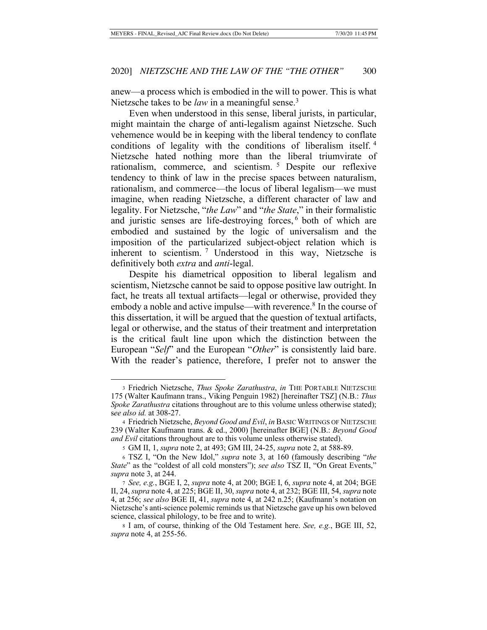anew—a process which is embodied in the will to power. This is what Nietzsche takes to be *law* in a meaningful sense.<sup>3</sup>

Even when understood in this sense, liberal jurists, in particular, might maintain the charge of anti-legalism against Nietzsche. Such vehemence would be in keeping with the liberal tendency to conflate conditions of legality with the conditions of liberalism itself. <sup>4</sup> Nietzsche hated nothing more than the liberal triumvirate of rationalism, commerce, and scientism. 5 Despite our reflexive tendency to think of law in the precise spaces between naturalism, rationalism, and commerce—the locus of liberal legalism—we must imagine, when reading Nietzsche, a different character of law and legality. For Nietzsche, "*the Law*" and "*the State*," in their formalistic and juristic senses are life-destroying forces, 6 both of which are embodied and sustained by the logic of universalism and the imposition of the particularized subject-object relation which is inherent to scientism. 7 Understood in this way, Nietzsche is definitively both *extra* and *anti*-legal.

Despite his diametrical opposition to liberal legalism and scientism, Nietzsche cannot be said to oppose positive law outright. In fact, he treats all textual artifacts—legal or otherwise, provided they embody a noble and active impulse—with reverence.<sup>8</sup> In the course of this dissertation, it will be argued that the question of textual artifacts, legal or otherwise, and the status of their treatment and interpretation is the critical fault line upon which the distinction between the European "*Self*" and the European "*Other*" is consistently laid bare. With the reader's patience, therefore, I prefer not to answer the

<sup>3</sup> Friedrich Nietzsche, *Thus Spoke Zarathustra*, *in* THE PORTABLE NIETZSCHE 175 (Walter Kaufmann trans., Viking Penguin 1982) [hereinafter TSZ] (N.B.: *Thus Spoke Zarathustra* citations throughout are to this volume unless otherwise stated); s*ee also id.* at 308-27.

<sup>4</sup> Friedrich Nietzsche, *Beyond Good and Evil*, *in* BASIC WRITINGS OF NIETZSCHE 239 (Walter Kaufmann trans. & ed., 2000) [hereinafter BGE] (N.B.: *Beyond Good and Evil* citations throughout are to this volume unless otherwise stated).

<sup>5</sup> GM II, 1, *supra* note 2, at 493; GM III, 24-25, *supra* note 2, at 588-89.

<sup>6</sup> TSZ I, "On the New Idol," *supra* note 3, at 160 (famously describing "*the State*" as the "coldest of all cold monsters"); *see also* TSZ II, "On Great Events," *supra* note 3, at 244.

<sup>7</sup> *See, e.g.*, BGE I, 2, *supra* note 4, at 200; BGE I, 6, *supra* note 4, at 204; BGE II, 24, *supra* note 4, at 225; BGE II, 30, *supra* note 4, at 232; BGE III, 54, *supra* note 4, at 256; *see also* BGE II, 41, *supra* note 4, at 242 n.25; (Kaufmann's notation on Nietzsche's anti-science polemic reminds us that Nietzsche gave up his own beloved science, classical philology, to be free and to write).

<sup>8</sup> I am, of course, thinking of the Old Testament here. *See, e.g.*, BGE III, 52, *supra* note 4, at 255-56.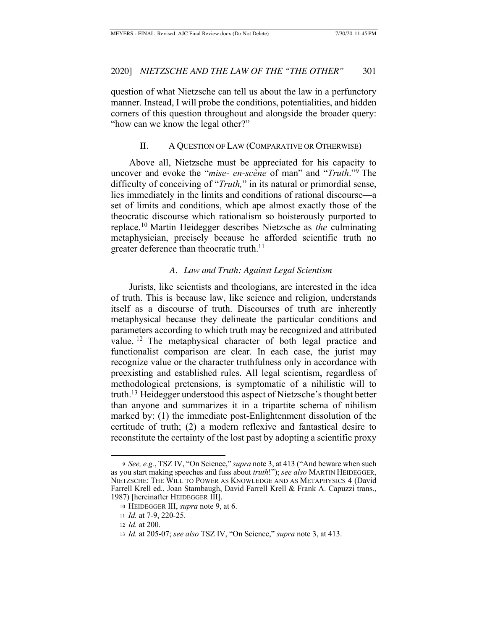question of what Nietzsche can tell us about the law in a perfunctory manner. Instead, I will probe the conditions, potentialities, and hidden corners of this question throughout and alongside the broader query: "how can we know the legal other?"

## II. A QUESTION OF LAW (COMPARATIVE OR OTHERWISE)

Above all, Nietzsche must be appreciated for his capacity to uncover and evoke the "*mise- en-scène* of man" and "*Truth*."9 The difficulty of conceiving of "*Truth,*" in its natural or primordial sense, lies immediately in the limits and conditions of rational discourse—a set of limits and conditions, which ape almost exactly those of the theocratic discourse which rationalism so boisterously purported to replace.10 Martin Heidegger describes Nietzsche as *the* culminating metaphysician, precisely because he afforded scientific truth no greater deference than theocratic truth.<sup>11</sup>

#### *A. Law and Truth: Against Legal Scientism*

Jurists, like scientists and theologians, are interested in the idea of truth. This is because law, like science and religion, understands itself as a discourse of truth. Discourses of truth are inherently metaphysical because they delineate the particular conditions and parameters according to which truth may be recognized and attributed value. 12 The metaphysical character of both legal practice and functionalist comparison are clear. In each case, the jurist may recognize value or the character truthfulness only in accordance with preexisting and established rules. All legal scientism, regardless of methodological pretensions, is symptomatic of a nihilistic will to truth.13 Heidegger understood this aspect of Nietzsche's thought better than anyone and summarizes it in a tripartite schema of nihilism marked by: (1) the immediate post-Enlightenment dissolution of the certitude of truth; (2) a modern reflexive and fantastical desire to reconstitute the certainty of the lost past by adopting a scientific proxy

<sup>9</sup> *See, e.g.*, TSZ IV, "On Science," *supra* note 3, at 413 ("And beware when such as you start making speeches and fuss about *truth*!"); *see also* MARTIN HEIDEGGER, NIETZSCHE: THE WILL TO POWER AS KNOWLEDGE AND AS METAPHYSICS 4 (David Farrell Krell ed., Joan Stambaugh, David Farrell Krell & Frank A. Capuzzi trans., 1987) [hereinafter HEIDEGGER III].

<sup>10</sup> HEIDEGGER III, *supra* note 9, at 6.

<sup>11</sup> *Id.* at 7-9, 220-25.

<sup>12</sup> *Id.* at 200.

<sup>13</sup> *Id.* at 205-07; *see also* TSZ IV, "On Science," *supra* note 3, at 413.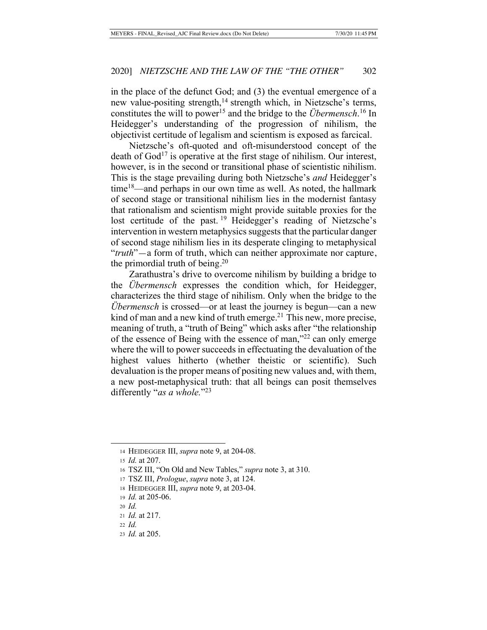in the place of the defunct God; and (3) the eventual emergence of a new value-positing strength,<sup>14</sup> strength which, in Nietzsche's terms, constitutes the will to power<sup>15</sup> and the bridge to the *Übermensch*.<sup>16</sup> In Heidegger's understanding of the progression of nihilism, the objectivist certitude of legalism and scientism is exposed as farcical.

Nietzsche's oft-quoted and oft-misunderstood concept of the death of  $God<sup>17</sup>$  is operative at the first stage of nihilism. Our interest, however, is in the second or transitional phase of scientistic nihilism. This is the stage prevailing during both Nietzsche's *and* Heidegger's  $time^{18}$ —and perhaps in our own time as well. As noted, the hallmark of second stage or transitional nihilism lies in the modernist fantasy that rationalism and scientism might provide suitable proxies for the lost certitude of the past.<sup>19</sup> Heidegger's reading of Nietzsche's intervention in western metaphysics suggests that the particular danger of second stage nihilism lies in its desperate clinging to metaphysical "*truth*"—a form of truth, which can neither approximate nor capture, the primordial truth of being.<sup>20</sup>

Zarathustra's drive to overcome nihilism by building a bridge to the *Übermensch* expresses the condition which, for Heidegger, characterizes the third stage of nihilism. Only when the bridge to the *Übermensch* is crossed—or at least the journey is begun—can a new kind of man and a new kind of truth emerge.<sup>21</sup> This new, more precise, meaning of truth, a "truth of Being" which asks after "the relationship of the essence of Being with the essence of man,"22 can only emerge where the will to power succeeds in effectuating the devaluation of the highest values hitherto (whether theistic or scientific). Such devaluation is the proper means of positing new values and, with them, a new post-metaphysical truth: that all beings can posit themselves differently "*as a whole.*"23

<sup>14</sup> HEIDEGGER III, *supra* note 9, at 204-08.

<sup>15</sup> *Id.* at 207.

<sup>16</sup> TSZ III, "On Old and New Tables," *supra* note 3, at 310.

<sup>17</sup> TSZ III, *Prologue*, *supra* note 3, at 124.

<sup>18</sup> HEIDEGGER III, *supra* note 9, at 203-04.

<sup>19</sup> *Id.* at 205-06.

<sup>20</sup> *Id.*

<sup>21</sup> *Id.* at 217.

<sup>22</sup> *Id.*

<sup>23</sup> *Id.* at 205.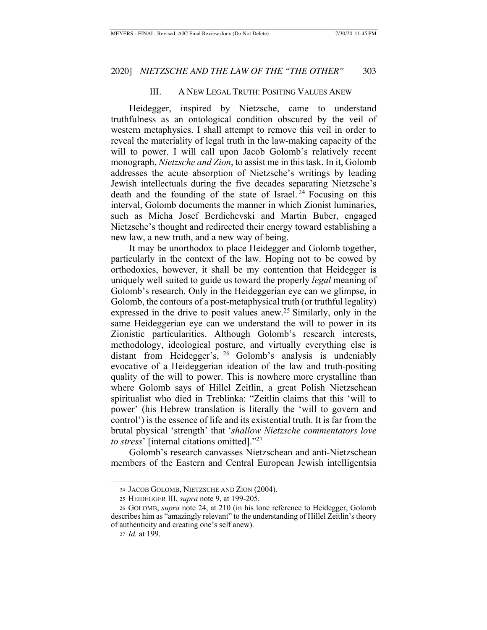### III. A NEW LEGAL TRUTH: POSITING VALUES ANEW

Heidegger, inspired by Nietzsche, came to understand truthfulness as an ontological condition obscured by the veil of western metaphysics. I shall attempt to remove this veil in order to reveal the materiality of legal truth in the law-making capacity of the will to power. I will call upon Jacob Golomb's relatively recent monograph, *Nietzsche and Zion*, to assist me in this task. In it, Golomb addresses the acute absorption of Nietzsche's writings by leading Jewish intellectuals during the five decades separating Nietzsche's death and the founding of the state of Israel. 24 Focusing on this interval, Golomb documents the manner in which Zionist luminaries, such as Micha Josef Berdichevski and Martin Buber, engaged Nietzsche's thought and redirected their energy toward establishing a new law, a new truth, and a new way of being.

It may be unorthodox to place Heidegger and Golomb together, particularly in the context of the law. Hoping not to be cowed by orthodoxies, however, it shall be my contention that Heidegger is uniquely well suited to guide us toward the properly *legal* meaning of Golomb's research. Only in the Heideggerian eye can we glimpse, in Golomb, the contours of a post-metaphysical truth (or truthful legality) expressed in the drive to posit values anew.<sup>25</sup> Similarly, only in the same Heideggerian eye can we understand the will to power in its Zionistic particularities. Although Golomb's research interests, methodology, ideological posture, and virtually everything else is distant from Heidegger's, 26 Golomb's analysis is undeniably evocative of a Heideggerian ideation of the law and truth-positing quality of the will to power. This is nowhere more crystalline than where Golomb says of Hillel Zeitlin, a great Polish Nietzschean spiritualist who died in Treblinka: "Zeitlin claims that this 'will to power' (his Hebrew translation is literally the 'will to govern and control') is the essence of life and its existential truth. It is far from the brutal physical 'strength' that '*shallow Nietzsche commentators love to stress*' [internal citations omitted]."27

Golomb's research canvasses Nietzschean and anti-Nietzschean members of the Eastern and Central European Jewish intelligentsia

<sup>24</sup> JACOB GOLOMB, NIETZSCHE AND ZION (2004).

<sup>25</sup> HEIDEGGER III, *supra* note 9, at 199-205.

<sup>26</sup> GOLOMB, *supra* note 24, at 210 (in his lone reference to Heidegger, Golomb describes him as "amazingly relevant" to the understanding of Hillel Zeitlin's theory of authenticity and creating one's self anew).

<sup>27</sup> *Id.* at 199.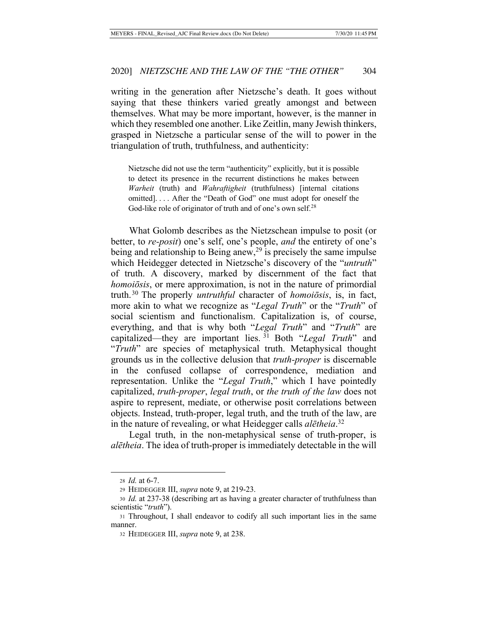writing in the generation after Nietzsche's death. It goes without saying that these thinkers varied greatly amongst and between themselves. What may be more important, however, is the manner in which they resembled one another. Like Zeitlin, many Jewish thinkers, grasped in Nietzsche a particular sense of the will to power in the triangulation of truth, truthfulness, and authenticity:

Nietzsche did not use the term "authenticity" explicitly, but it is possible to detect its presence in the recurrent distinctions he makes between *Warheit* (truth) and *Wahraftigheit* (truthfulness) [internal citations omitted]. . . . After the "Death of God" one must adopt for oneself the God-like role of originator of truth and of one's own self.<sup>28</sup>

What Golomb describes as the Nietzschean impulse to posit (or better, to *re-posit*) one's self, one's people, *and* the entirety of one's being and relationship to Being anew,<sup>29</sup> is precisely the same impulse which Heidegger detected in Nietzsche's discovery of the "*untruth*" of truth. A discovery, marked by discernment of the fact that *homoiōsis*, or mere approximation, is not in the nature of primordial truth.30 The properly *untruthful* character of *homoiōsis*, is, in fact, more akin to what we recognize as "*Legal Truth*" or the "*Truth*" of social scientism and functionalism. Capitalization is, of course, everything, and that is why both "*Legal Truth*" and "*Truth*" are capitalized—they are important lies. 31 Both "*Legal Truth*" and "*Truth*" are species of metaphysical truth. Metaphysical thought grounds us in the collective delusion that *truth-proper* is discernable in the confused collapse of correspondence, mediation and representation. Unlike the "*Legal Truth*," which I have pointedly capitalized, *truth-proper*, *legal truth*, or *the truth of the law* does not aspire to represent, mediate, or otherwise posit correlations between objects. Instead, truth-proper, legal truth, and the truth of the law, are in the nature of revealing, or what Heidegger calls *alētheia*. 32

Legal truth, in the non-metaphysical sense of truth-proper, is *alētheia*. The idea of truth-proper is immediately detectable in the will

<sup>28</sup> *Id.* at 6-7.

<sup>29</sup> HEIDEGGER III, *supra* note 9, at 219-23.

<sup>30</sup> *Id.* at 237-38 (describing art as having a greater character of truthfulness than scientistic "*truth*").

<sup>31</sup> Throughout, I shall endeavor to codify all such important lies in the same manner.

<sup>32</sup> HEIDEGGER III, *supra* note 9, at 238.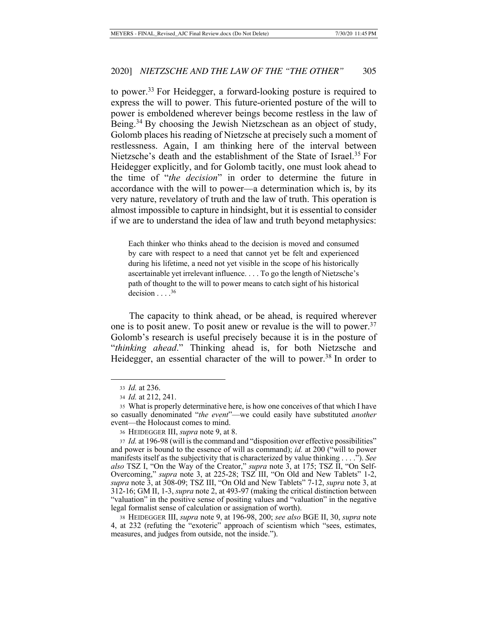to power.33 For Heidegger, a forward-looking posture is required to express the will to power. This future-oriented posture of the will to power is emboldened wherever beings become restless in the law of Being.<sup>34</sup> By choosing the Jewish Nietzschean as an object of study, Golomb places his reading of Nietzsche at precisely such a moment of restlessness. Again, I am thinking here of the interval between Nietzsche's death and the establishment of the State of Israel.<sup>35</sup> For Heidegger explicitly, and for Golomb tacitly, one must look ahead to the time of "*the decision*" in order to determine the future in accordance with the will to power—a determination which is, by its very nature, revelatory of truth and the law of truth. This operation is almost impossible to capture in hindsight, but it is essential to consider if we are to understand the idea of law and truth beyond metaphysics:

Each thinker who thinks ahead to the decision is moved and consumed by care with respect to a need that cannot yet be felt and experienced during his lifetime, a need not yet visible in the scope of his historically ascertainable yet irrelevant influence. . . . To go the length of Nietzsche's path of thought to the will to power means to catch sight of his historical decision  $\ldots$ .<sup>36</sup>

The capacity to think ahead, or be ahead, is required wherever one is to posit anew. To posit anew or revalue is the will to power.  $37$ Golomb's research is useful precisely because it is in the posture of "*thinking ahead*." Thinking ahead is, for both Nietzsche and Heidegger, an essential character of the will to power.<sup>38</sup> In order to

<sup>33</sup> *Id.* at 236.

<sup>34</sup> *Id.* at 212, 241.

<sup>35</sup> What is properly determinative here, is how one conceives of that which I have so casually denominated "*the event*"—we could easily have substituted *another* event—the Holocaust comes to mind.

<sup>36</sup> HEIDEGGER III, *supra* note 9, at 8.

<sup>37</sup> *Id.* at 196-98 (will is the command and "disposition over effective possibilities" and power is bound to the essence of will as command); *id.* at 200 ("will to power manifests itself as the subjectivity that is characterized by value thinking . . . ."). *See also* TSZ I, "On the Way of the Creator," *supra* note 3, at 175; TSZ II, "On Self-Overcoming," *supra* note 3, at 225-28; TSZ III, "On Old and New Tablets" 1-2, *supra* note 3, at 308-09; TSZ III, "On Old and New Tablets" 7-12, *supra* note 3, at 312-16; GM II, 1-3, *supra* note 2, at 493-97 (making the critical distinction between "valuation" in the positive sense of positing values and "valuation" in the negative legal formalist sense of calculation or assignation of worth).

<sup>38</sup> HEIDEGGER III, *supra* note 9, at 196-98, 200; *see also* BGE II, 30, *supra* note 4, at 232 (refuting the "exoteric" approach of scientism which "sees, estimates, measures, and judges from outside, not the inside.").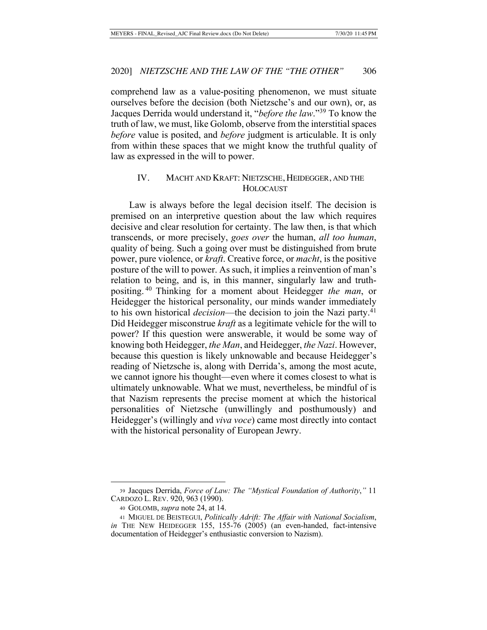comprehend law as a value-positing phenomenon, we must situate ourselves before the decision (both Nietzsche's and our own), or, as Jacques Derrida would understand it, "*before the law*."39 To know the truth of law, we must, like Golomb, observe from the interstitial spaces *before* value is posited, and *before* judgment is articulable. It is only from within these spaces that we might know the truthful quality of law as expressed in the will to power.

## IV. MACHT AND KRAFT: NIETZSCHE, HEIDEGGER, AND THE HOLOCAUST

Law is always before the legal decision itself. The decision is premised on an interpretive question about the law which requires decisive and clear resolution for certainty. The law then, is that which transcends, or more precisely, *goes over* the human, *all too human*, quality of being. Such a going over must be distinguished from brute power, pure violence, or *kraft*. Creative force, or *macht*, is the positive posture of the will to power. As such, it implies a reinvention of man's relation to being, and is, in this manner, singularly law and truthpositing. 40 Thinking for a moment about Heidegger *the man*, or Heidegger the historical personality, our minds wander immediately to his own historical *decision*—the decision to join the Nazi party.<sup>41</sup> Did Heidegger misconstrue *kraft* as a legitimate vehicle for the will to power? If this question were answerable, it would be some way of knowing both Heidegger, *the Man*, and Heidegger, *the Nazi*. However, because this question is likely unknowable and because Heidegger's reading of Nietzsche is, along with Derrida's, among the most acute, we cannot ignore his thought—even where it comes closest to what is ultimately unknowable. What we must, nevertheless, be mindful of is that Nazism represents the precise moment at which the historical personalities of Nietzsche (unwillingly and posthumously) and Heidegger's (willingly and *viva voce*) came most directly into contact with the historical personality of European Jewry.

<sup>39</sup> Jacques Derrida, *Force of Law: The "Mystical Foundation of Authority*,*"* 11 CARDOZO L. REV. 920, 963 (1990).

<sup>40</sup> GOLOMB, *supra* note 24, at 14.

<sup>41</sup> MIGUEL DE BEISTEGUI, *Politically Adrift: The Affair with National Socialism*, *in* THE NEW HEIDEGGER 155, 155-76 (2005) (an even-handed, fact-intensive documentation of Heidegger's enthusiastic conversion to Nazism).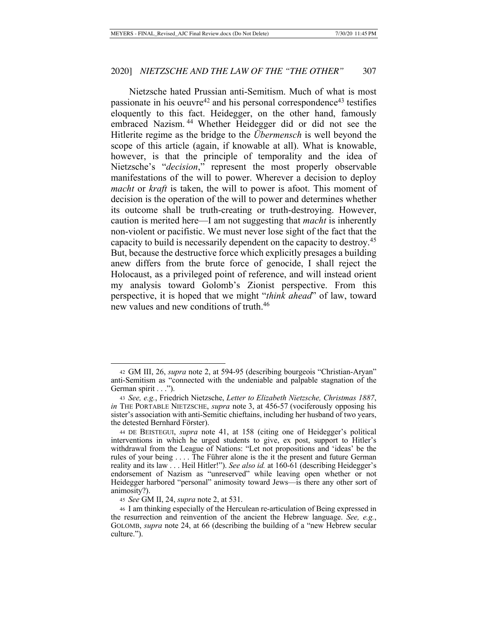Nietzsche hated Prussian anti-Semitism. Much of what is most passionate in his oeuvre<sup>42</sup> and his personal correspondence<sup>43</sup> testifies eloquently to this fact. Heidegger, on the other hand, famously embraced Nazism. 44 Whether Heidegger did or did not see the Hitlerite regime as the bridge to the *Übermensch* is well beyond the scope of this article (again, if knowable at all). What is knowable, however, is that the principle of temporality and the idea of Nietzsche's "*decision*," represent the most properly observable manifestations of the will to power. Wherever a decision to deploy *macht* or *kraft* is taken, the will to power is afoot. This moment of decision is the operation of the will to power and determines whether its outcome shall be truth-creating or truth-destroying. However, caution is merited here—I am not suggesting that *macht* is inherently non-violent or pacifistic. We must never lose sight of the fact that the capacity to build is necessarily dependent on the capacity to destroy.45 But, because the destructive force which explicitly presages a building anew differs from the brute force of genocide, I shall reject the Holocaust, as a privileged point of reference, and will instead orient my analysis toward Golomb's Zionist perspective. From this perspective, it is hoped that we might "*think ahead*" of law, toward new values and new conditions of truth.46

<sup>42</sup> GM III, 26, *supra* note 2, at 594-95 (describing bourgeois "Christian-Aryan" anti-Semitism as "connected with the undeniable and palpable stagnation of the German spirit . . .").

<sup>43</sup> *See, e.g.*, Friedrich Nietzsche, *Letter to Elizabeth Nietzsche, Christmas 1887*, *in* THE PORTABLE NIETZSCHE, *supra* note 3, at 456-57 (vociferously opposing his sister's association with anti-Semitic chieftains, including her husband of two years, the detested Bernhard Förster).

<sup>44</sup> DE BEISTEGUI, *supra* note 41, at 158 (citing one of Heidegger's political interventions in which he urged students to give, ex post, support to Hitler's withdrawal from the League of Nations: "Let not propositions and 'ideas' be the rules of your being . . . . The Führer alone is the it the present and future German reality and its law . . . Heil Hitler!"). *See also id.* at 160-61 (describing Heidegger's endorsement of Nazism as "unreserved" while leaving open whether or not Heidegger harbored "personal" animosity toward Jews—is there any other sort of animosity?).

<sup>45</sup> *See* GM II, 24, *supra* note 2, at 531.

<sup>46</sup> I am thinking especially of the Herculean re-articulation of Being expressed in the resurrection and reinvention of the ancient the Hebrew language. *See, e.g.*, GOLOMB, *supra* note 24, at 66 (describing the building of a "new Hebrew secular culture.").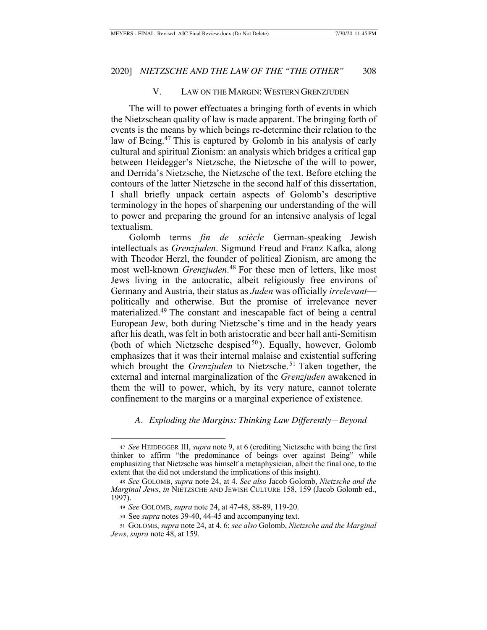### V. LAW ON THE MARGIN: WESTERN GRENZJUDEN

The will to power effectuates a bringing forth of events in which the Nietzschean quality of law is made apparent. The bringing forth of events is the means by which beings re-determine their relation to the law of Being.<sup>47</sup> This is captured by Golomb in his analysis of early cultural and spiritual Zionism: an analysis which bridges a critical gap between Heidegger's Nietzsche, the Nietzsche of the will to power, and Derrida's Nietzsche, the Nietzsche of the text. Before etching the contours of the latter Nietzsche in the second half of this dissertation, I shall briefly unpack certain aspects of Golomb's descriptive terminology in the hopes of sharpening our understanding of the will to power and preparing the ground for an intensive analysis of legal textualism.

Golomb terms *fin de sciècle* German-speaking Jewish intellectuals as *Grenzjuden*. Sigmund Freud and Franz Kafka, along with Theodor Herzl, the founder of political Zionism, are among the most well-known *Grenzjuden*. 48 For these men of letters, like most Jews living in the autocratic, albeit religiously free environs of Germany and Austria, their status as *Juden* was officially *irrelevant* politically and otherwise. But the promise of irrelevance never materialized.49 The constant and inescapable fact of being a central European Jew, both during Nietzsche's time and in the heady years after his death, was felt in both aristocratic and beer hall anti-Semitism (both of which Nietzsche despised $50$ ). Equally, however, Golomb emphasizes that it was their internal malaise and existential suffering which brought the *Grenzjuden* to Nietzsche.<sup>51</sup> Taken together, the external and internal marginalization of the *Grenzjuden* awakened in them the will to power, which, by its very nature, cannot tolerate confinement to the margins or a marginal experience of existence.

*A. Exploding the Margins: Thinking Law Differently—Beyond* 

<sup>47</sup> *See* HEIDEGGER III, *supra* note 9, at 6 (crediting Nietzsche with being the first thinker to affirm "the predominance of beings over against Being" while emphasizing that Nietzsche was himself a metaphysician, albeit the final one, to the extent that the did not understand the implications of this insight).

<sup>48</sup> *See* GOLOMB, *supra* note 24, at 4. *See also* Jacob Golomb, *Nietzsche and the Marginal Jews*, *in* NIETZSCHE AND JEWISH CULTURE 158, 159 (Jacob Golomb ed., 1997).

<sup>49</sup> *See* GOLOMB, *supra* note 24, at 47-48, 88-89, 119-20.

<sup>50</sup> See *supra* notes 39-40, 44-45 and accompanying text.

<sup>51</sup> GOLOMB, *supra* note 24, at 4, 6; *see also* Golomb, *Nietzsche and the Marginal Jews*, *supra* note 48, at 159.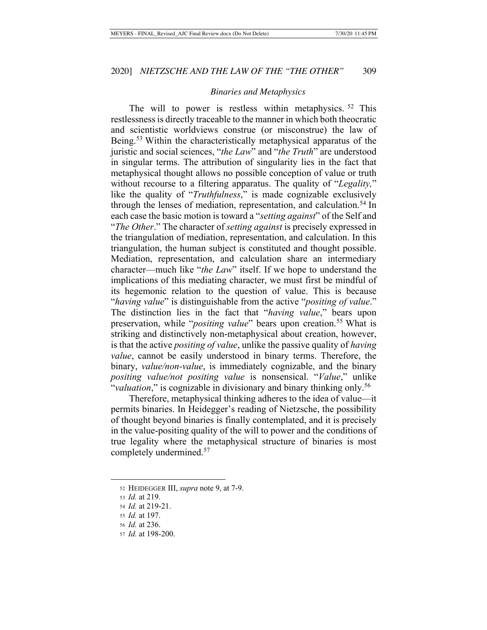#### *Binaries and Metaphysics*

The will to power is restless within metaphysics. <sup>52</sup> This restlessness is directly traceable to the manner in which both theocratic and scientistic worldviews construe (or misconstrue) the law of Being.<sup>53</sup> Within the characteristically metaphysical apparatus of the juristic and social sciences, "*the Law*" and "*the Truth*" are understood in singular terms. The attribution of singularity lies in the fact that metaphysical thought allows no possible conception of value or truth without recourse to a filtering apparatus. The quality of "*Legality,*" like the quality of "*Truthfulness*," is made cognizable exclusively through the lenses of mediation, representation, and calculation.<sup>54</sup> In each case the basic motion is toward a "*setting against*" of the Self and "*The Other*." The character of *setting against* is precisely expressed in the triangulation of mediation, representation, and calculation. In this triangulation, the human subject is constituted and thought possible. Mediation, representation, and calculation share an intermediary character—much like "*the Law*" itself. If we hope to understand the implications of this mediating character, we must first be mindful of its hegemonic relation to the question of value. This is because "*having value*" is distinguishable from the active "*positing of value*." The distinction lies in the fact that "*having value*," bears upon preservation, while "*positing value*" bears upon creation.<sup>55</sup> What is striking and distinctively non-metaphysical about creation, however, is that the active *positing of value*, unlike the passive quality of *having value*, cannot be easily understood in binary terms. Therefore, the binary, *value/non-value*, is immediately cognizable, and the binary *positing value/not positing value* is nonsensical. "*Value*," unlike "*valuation*," is cognizable in divisionary and binary thinking only.<sup>56</sup>

Therefore, metaphysical thinking adheres to the idea of value—it permits binaries. In Heidegger's reading of Nietzsche, the possibility of thought beyond binaries is finally contemplated, and it is precisely in the value-positing quality of the will to power and the conditions of true legality where the metaphysical structure of binaries is most completely undermined.57

<sup>52</sup> HEIDEGGER III, *supra* note 9, at 7-9.

<sup>53</sup> *Id.* at 219.

<sup>54</sup> *Id.* at 219-21.

<sup>55</sup> *Id.* at 197.

<sup>56</sup> *Id.* at 236.

<sup>57</sup> *Id.* at 198-200.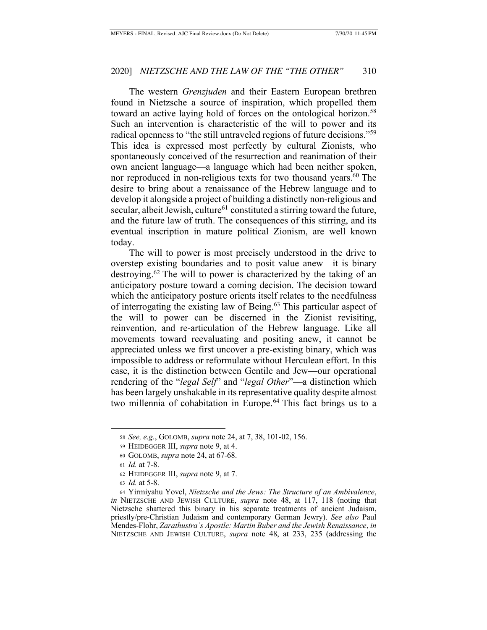The western *Grenzjuden* and their Eastern European brethren found in Nietzsche a source of inspiration, which propelled them toward an active laying hold of forces on the ontological horizon.<sup>58</sup> Such an intervention is characteristic of the will to power and its radical openness to "the still untraveled regions of future decisions."<sup>59</sup> This idea is expressed most perfectly by cultural Zionists, who spontaneously conceived of the resurrection and reanimation of their own ancient language—a language which had been neither spoken, nor reproduced in non-religious texts for two thousand years.<sup>60</sup> The desire to bring about a renaissance of the Hebrew language and to develop it alongside a project of building a distinctly non-religious and secular, albeit Jewish, culture<sup>61</sup> constituted a stirring toward the future, and the future law of truth. The consequences of this stirring, and its eventual inscription in mature political Zionism, are well known today.

The will to power is most precisely understood in the drive to overstep existing boundaries and to posit value anew—it is binary destroying.62 The will to power is characterized by the taking of an anticipatory posture toward a coming decision. The decision toward which the anticipatory posture orients itself relates to the needfulness of interrogating the existing law of Being.<sup>63</sup> This particular aspect of the will to power can be discerned in the Zionist revisiting, reinvention, and re-articulation of the Hebrew language. Like all movements toward reevaluating and positing anew, it cannot be appreciated unless we first uncover a pre-existing binary, which was impossible to address or reformulate without Herculean effort. In this case, it is the distinction between Gentile and Jew—our operational rendering of the "*legal Self*" and "*legal Other*"—a distinction which has been largely unshakable in its representative quality despite almost two millennia of cohabitation in Europe.<sup>64</sup> This fact brings us to a

<sup>58</sup> *See, e.g.*, GOLOMB, *supra* note 24, at 7, 38, 101-02, 156.

<sup>59</sup> HEIDEGGER III, *supra* note 9, at 4.

<sup>60</sup> GOLOMB, *supra* note 24, at 67-68.

<sup>61</sup> *Id.* at 7-8.

<sup>62</sup> HEIDEGGER III, *supra* note 9, at 7.

<sup>63</sup> *Id.* at 5-8.

<sup>64</sup> Yirmiyahu Yovel, *Nietzsche and the Jews: The Structure of an Ambivalence*, *in* NIETZSCHE AND JEWISH CULTURE, *supra* note 48, at 117, 118 (noting that Nietzsche shattered this binary in his separate treatments of ancient Judaism, priestly/pre-Christian Judaism and contemporary German Jewry). *See also* Paul Mendes-Flohr, *Zarathustra's Apostle: Martin Buber and the Jewish Renaissance*, *in* NIETZSCHE AND JEWISH CULTURE, *supra* note 48, at 233, 235 (addressing the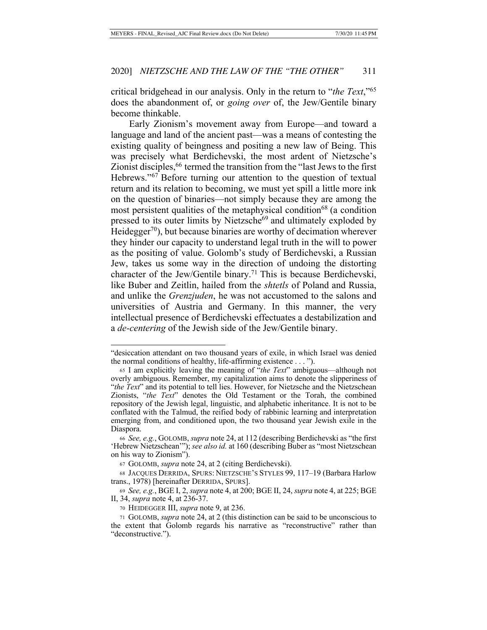critical bridgehead in our analysis. Only in the return to "*the Text*,"65 does the abandonment of, or *going over* of, the Jew/Gentile binary become thinkable.

Early Zionism's movement away from Europe—and toward a language and land of the ancient past—was a means of contesting the existing quality of beingness and positing a new law of Being. This was precisely what Berdichevski, the most ardent of Nietzsche's Zionist disciples, <sup>66</sup> termed the transition from the "last Jews to the first" Hebrews."<sup>67</sup> Before turning our attention to the question of textual return and its relation to becoming, we must yet spill a little more ink on the question of binaries—not simply because they are among the most persistent qualities of the metaphysical condition<sup>68</sup> (a condition pressed to its outer limits by Nietzsche<sup>69</sup> and ultimately exploded by Heidegger<sup>70</sup>), but because binaries are worthy of decimation wherever they hinder our capacity to understand legal truth in the will to power as the positing of value. Golomb's study of Berdichevski, a Russian Jew, takes us some way in the direction of undoing the distorting character of the Jew/Gentile binary.71 This is because Berdichevski, like Buber and Zeitlin, hailed from the *shtetls* of Poland and Russia, and unlike the *Grenzjuden*, he was not accustomed to the salons and universities of Austria and Germany. In this manner, the very intellectual presence of Berdichevski effectuates a destabilization and a *de-centering* of the Jewish side of the Jew/Gentile binary.

<sup>&</sup>quot;desiccation attendant on two thousand years of exile, in which Israel was denied the normal conditions of healthy, life-affirming existence . . . ").

<sup>65</sup> I am explicitly leaving the meaning of "*the Text*" ambiguous—although not overly ambiguous. Remember, my capitalization aims to denote the slipperiness of "*the Text*" and its potential to tell lies. However, for Nietzsche and the Nietzschean Zionists, "*the Text*" denotes the Old Testament or the Torah, the combined repository of the Jewish legal, linguistic, and alphabetic inheritance. It is not to be conflated with the Talmud, the reified body of rabbinic learning and interpretation emerging from, and conditioned upon, the two thousand year Jewish exile in the Diaspora.

<sup>66</sup> *See, e.g.*, GOLOMB, *supra* note 24, at 112 (describing Berdichevski as "the first 'Hebrew Nietzschean'"); *see also id.* at 160 (describing Buber as "most Nietzschean on his way to Zionism").

<sup>67</sup> GOLOMB, *supra* note 24, at 2 (citing Berdichevski).

<sup>68</sup> JACQUES DERRIDA, SPURS: NIETZSCHE'S STYLES 99, 117–19 (Barbara Harlow trans., 1978) [hereinafter DERRIDA, SPURS].

<sup>69</sup> *See, e.g.*, BGE I, 2, *supra* note 4, at 200; BGE II, 24, *supra* note 4, at 225; BGE II, 34, *supra* note 4, at 236-37.

<sup>70</sup> HEIDEGGER III, *supra* note 9, at 236.

<sup>71</sup> GOLOMB, *supra* note 24, at 2 (this distinction can be said to be unconscious to the extent that Golomb regards his narrative as "reconstructive" rather than "deconstructive.").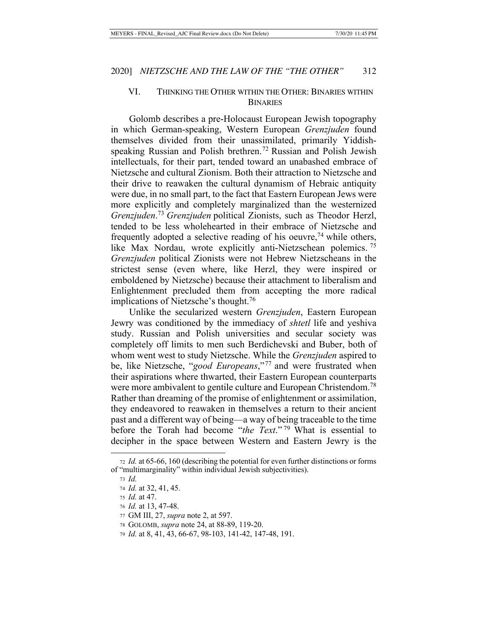## VI. THINKING THE OTHER WITHIN THE OTHER: BINARIES WITHIN **BINARIES**

Golomb describes a pre-Holocaust European Jewish topography in which German-speaking, Western European *Grenzjuden* found themselves divided from their unassimilated, primarily Yiddishspeaking Russian and Polish brethren.<sup>72</sup> Russian and Polish Jewish intellectuals, for their part, tended toward an unabashed embrace of Nietzsche and cultural Zionism. Both their attraction to Nietzsche and their drive to reawaken the cultural dynamism of Hebraic antiquity were due, in no small part, to the fact that Eastern European Jews were more explicitly and completely marginalized than the westernized *Grenzjuden*. <sup>73</sup> *Grenzjuden* political Zionists, such as Theodor Herzl, tended to be less wholehearted in their embrace of Nietzsche and frequently adopted a selective reading of his oeuvre,<sup>74</sup> while others, like Max Nordau, wrote explicitly anti-Nietzschean polemics.<sup>75</sup> *Grenzjuden* political Zionists were not Hebrew Nietzscheans in the strictest sense (even where, like Herzl, they were inspired or emboldened by Nietzsche) because their attachment to liberalism and Enlightenment precluded them from accepting the more radical implications of Nietzsche's thought.<sup>76</sup>

Unlike the secularized western *Grenzjuden*, Eastern European Jewry was conditioned by the immediacy of *shtetl* life and yeshiva study. Russian and Polish universities and secular society was completely off limits to men such Berdichevski and Buber, both of whom went west to study Nietzsche. While the *Grenzjuden* aspired to be, like Nietzsche, "*good Europeans*,"77 and were frustrated when their aspirations where thwarted, their Eastern European counterparts were more ambivalent to gentile culture and European Christendom.<sup>78</sup> Rather than dreaming of the promise of enlightenment or assimilation, they endeavored to reawaken in themselves a return to their ancient past and a different way of being—a way of being traceable to the time before the Torah had become "*the Text*." 79 What is essential to decipher in the space between Western and Eastern Jewry is the

<sup>72</sup> *Id.* at 65-66, 160 (describing the potential for even further distinctions or forms of "multimarginality" within individual Jewish subjectivities).

<sup>73</sup> *Id.*

<sup>74</sup> *Id.* at 32, 41, 45.

<sup>75</sup> *Id.* at 47.

<sup>76</sup> *Id.* at 13, 47-48.

<sup>77</sup> GM III, 27, *supra* note 2, at 597.

<sup>78</sup> GOLOMB, *supra* note 24, at 88-89, 119-20.

<sup>79</sup> *Id.* at 8, 41, 43, 66-67, 98-103, 141-42, 147-48, 191.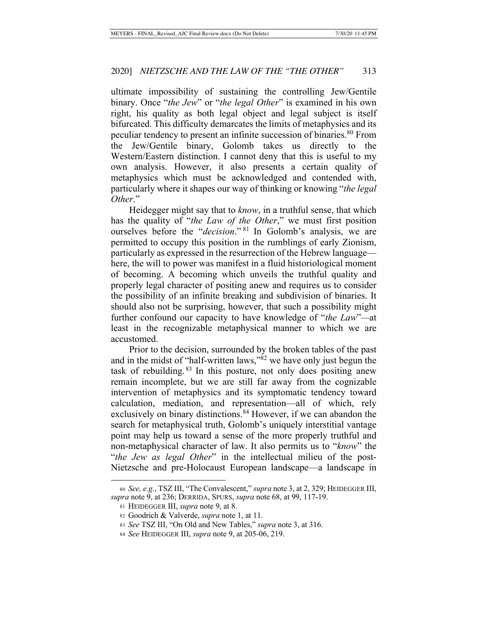ultimate impossibility of sustaining the controlling Jew/Gentile binary. Once "*the Jew*" or "*the legal Other*" is examined in his own right, his quality as both legal object and legal subject is itself bifurcated. This difficulty demarcates the limits of metaphysics and its peculiar tendency to present an infinite succession of binaries.80 From the Jew/Gentile binary, Golomb takes us directly to the Western/Eastern distinction. I cannot deny that this is useful to my own analysis. However, it also presents a certain quality of metaphysics which must be acknowledged and contended with, particularly where it shapes our way of thinking or knowing "*the legal Other*."

Heidegger might say that to *know*, in a truthful sense, that which has the quality of "*the Law of the Other*," we must first position ourselves before the "*decision*." 81 In Golomb's analysis, we are permitted to occupy this position in the rumblings of early Zionism, particularly as expressed in the resurrection of the Hebrew language here, the will to power was manifest in a fluid historiological moment of becoming. A becoming which unveils the truthful quality and properly legal character of positing anew and requires us to consider the possibility of an infinite breaking and subdivision of binaries. It should also not be surprising, however, that such a possibility might further confound our capacity to have knowledge of "*the Law*"*—*at least in the recognizable metaphysical manner to which we are accustomed.

Prior to the decision, surrounded by the broken tables of the past and in the midst of "half-written laws,"82 we have only just begun the task of rebuilding. 83 In this posture, not only does positing anew remain incomplete, but we are still far away from the cognizable intervention of metaphysics and its symptomatic tendency toward calculation, mediation, and representation—all of which, rely exclusively on binary distinctions.<sup>84</sup> However, if we can abandon the search for metaphysical truth, Golomb's uniquely interstitial vantage point may help us toward a sense of the more properly truthful and non-metaphysical character of law. It also permits us to "*know*" the "*the Jew as legal Other*" in the intellectual milieu of the post-Nietzsche and pre-Holocaust European landscape—a landscape in

<sup>80</sup> *See, e.g.*, TSZ III, "The Convalescent," *supra* note 3, at 2, 329; HEIDEGGER III, *supra* note 9, at 236; DERRIDA, SPURS, *supra* note 68, at 99, 117-19.

<sup>81</sup> HEIDEGGER III, *supra* note 9, at 8.

<sup>82</sup> Goodrich & Valverde, *supra* note 1, at 11.

<sup>83</sup> *See* TSZ III, "On Old and New Tables," *supra* note 3, at 316.

<sup>84</sup> *See* HEIDEGGER III, *supra* note 9, at 205-06, 219.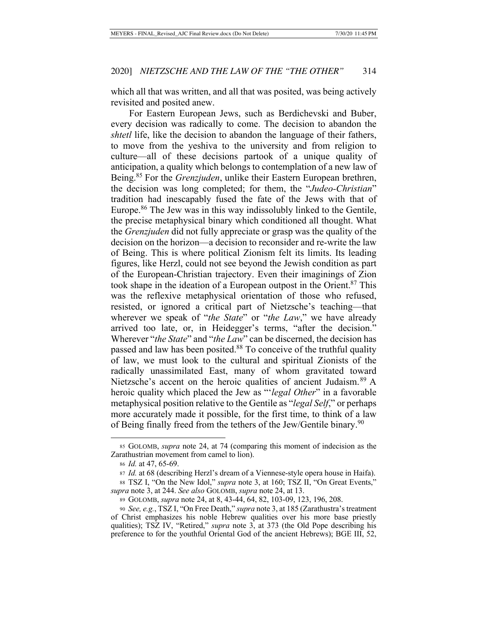which all that was written, and all that was posited, was being actively revisited and posited anew.

For Eastern European Jews, such as Berdichevski and Buber, every decision was radically to come. The decision to abandon the *shtetl* life, like the decision to abandon the language of their fathers, to move from the yeshiva to the university and from religion to culture—all of these decisions partook of a unique quality of anticipation, a quality which belongs to contemplation of a new law of Being.85 For the *Grenzjuden*, unlike their Eastern European brethren, the decision was long completed; for them, the "*Judeo-Christian*" tradition had inescapably fused the fate of the Jews with that of Europe.86 The Jew was in this way indissolubly linked to the Gentile, the precise metaphysical binary which conditioned all thought. What the *Grenzjuden* did not fully appreciate or grasp was the quality of the decision on the horizon—a decision to reconsider and re-write the law of Being. This is where political Zionism felt its limits. Its leading figures, like Herzl, could not see beyond the Jewish condition as part of the European-Christian trajectory. Even their imaginings of Zion took shape in the ideation of a European outpost in the Orient.87 This was the reflexive metaphysical orientation of those who refused, resisted, or ignored a critical part of Nietzsche's teaching—that wherever we speak of "*the State*" or "*the Law*," we have already arrived too late, or, in Heidegger's terms, "after the decision." Wherever "*the State*" and "*the Law*" can be discerned, the decision has passed and law has been posited.<sup>88</sup> To conceive of the truthful quality of law, we must look to the cultural and spiritual Zionists of the radically unassimilated East, many of whom gravitated toward Nietzsche's accent on the heroic qualities of ancient Judaism.<sup>89</sup> A heroic quality which placed the Jew as "'*legal Other*" in a favorable metaphysical position relative to the Gentile as "*legal Self*," or perhaps more accurately made it possible, for the first time, to think of a law of Being finally freed from the tethers of the Jew/Gentile binary.<sup>90</sup>

<sup>85</sup> GOLOMB, *supra* note 24, at 74 (comparing this moment of indecision as the Zarathustrian movement from camel to lion).

<sup>86</sup> *Id.* at 47, 65-69.

<sup>87</sup> *Id.* at 68 (describing Herzl's dream of a Viennese-style opera house in Haifa). <sup>88</sup> TSZ I, "On the New Idol," *supra* note 3, at 160; TSZ II, "On Great Events,"

*supra* note 3, at 244. *See also* GOLOMB, *supra* note 24, at 13.

<sup>89</sup> GOLOMB, *supra* note 24, at 8, 43-44, 64, 82, 103-09, 123, 196, 208.

<sup>90</sup> *See, e.g.*, TSZ I, "On Free Death," *supra* note 3, at 185 (Zarathustra's treatment of Christ emphasizes his noble Hebrew qualities over his more base priestly qualities); TSZ IV, "Retired," *supra* note 3, at 373 (the Old Pope describing his preference to for the youthful Oriental God of the ancient Hebrews); BGE III, 52,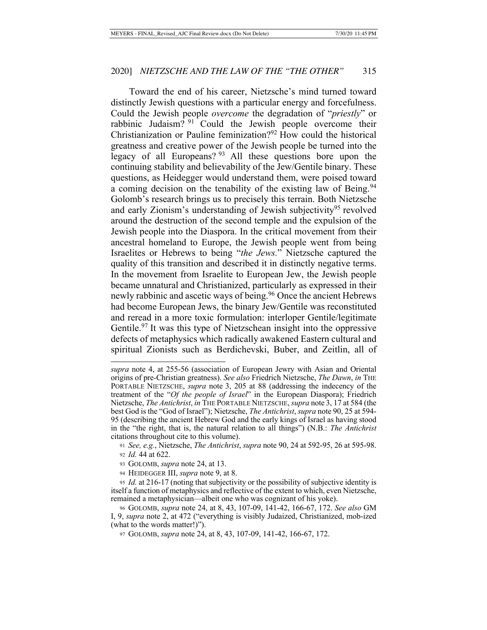Toward the end of his career, Nietzsche's mind turned toward distinctly Jewish questions with a particular energy and forcefulness. Could the Jewish people *overcome* the degradation of "*priestly*" or rabbinic Judaism? 91 Could the Jewish people overcome their Christianization or Pauline feminization?92 How could the historical greatness and creative power of the Jewish people be turned into the legacy of all Europeans? 93 All these questions bore upon the continuing stability and believability of the Jew/Gentile binary. These questions, as Heidegger would understand them, were poised toward a coming decision on the tenability of the existing law of Being.<sup>94</sup> Golomb's research brings us to precisely this terrain. Both Nietzsche and early Zionism's understanding of Jewish subjectivity<sup>95</sup> revolved around the destruction of the second temple and the expulsion of the Jewish people into the Diaspora. In the critical movement from their ancestral homeland to Europe, the Jewish people went from being Israelites or Hebrews to being "*the Jews.*" Nietzsche captured the quality of this transition and described it in distinctly negative terms. In the movement from Israelite to European Jew, the Jewish people became unnatural and Christianized, particularly as expressed in their newly rabbinic and ascetic ways of being.<sup>96</sup> Once the ancient Hebrews had become European Jews, the binary Jew/Gentile was reconstituted and reread in a more toxic formulation: interloper Gentile/legitimate Gentile.<sup>97</sup> It was this type of Nietzschean insight into the oppressive defects of metaphysics which radically awakened Eastern cultural and spiritual Zionists such as Berdichevski, Buber, and Zeitlin, all of

*supra* note 4, at 255-56 (association of European Jewry with Asian and Oriental origins of pre-Christian greatness). *See also* Friedrich Nietzsche, *The Dawn*, *in* THE PORTABLE NIETZSCHE, *supra* note 3, 205 at 88 (addressing the indecency of the treatment of the "*Of the people of Israel*" in the European Diaspora); Friedrich Nietzsche, *The Antichrist*, *in* THE PORTABLE NIETZSCHE, *supra* note 3, 17 at 584 (the best God is the "God of Israel"); Nietzsche, *The Antichrist*, *supra* note 90, 25 at 594- 95 (describing the ancient Hebrew God and the early kings of Israel as having stood in the "the right, that is, the natural relation to all things") (N.B.: *The Antichrist*  citations throughout cite to this volume).

<sup>91</sup> *See, e.g.*, Nietzsche, *The Antichrist*, *supra* note 90, 24 at 592-95, 26 at 595-98. <sup>92</sup> *Id.* 44 at 622.

<sup>93</sup> GOLOMB, *supra* note 24, at 13.

<sup>94</sup> HEIDEGGER III, *supra* note 9, at 8.

<sup>95</sup> *Id.* at 216-17 (noting that subjectivity or the possibility of subjective identity is itself a function of metaphysics and reflective of the extent to which, even Nietzsche, remained a metaphysician—albeit one who was cognizant of his yoke).

<sup>96</sup> GOLOMB, *supra* note 24, at 8, 43, 107-09, 141-42, 166-67, 172. *See also* GM I, 9, *supra* note 2, at 472 ("everything is visibly Judaized, Christianized, mob-ized (what to the words matter!)").

<sup>97</sup> GOLOMB, *supra* note 24, at 8, 43, 107-09, 141-42, 166-67, 172.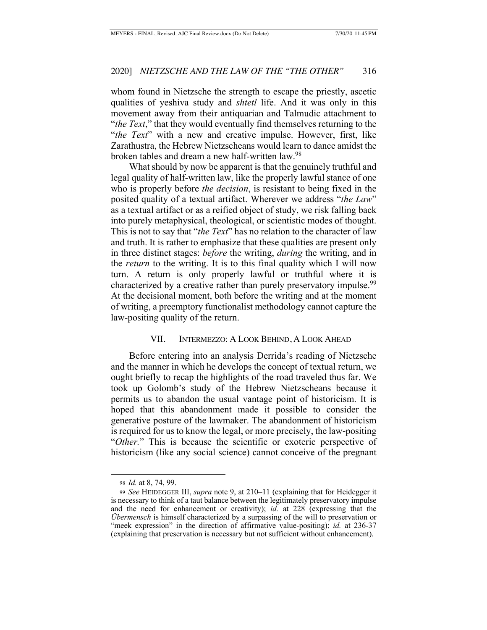whom found in Nietzsche the strength to escape the priestly, ascetic qualities of yeshiva study and *shtetl* life. And it was only in this movement away from their antiquarian and Talmudic attachment to "*the Text*," that they would eventually find themselves returning to the "*the Text*" with a new and creative impulse. However, first, like Zarathustra, the Hebrew Nietzscheans would learn to dance amidst the broken tables and dream a new half-written law.98

What should by now be apparent is that the genuinely truthful and legal quality of half-written law, like the properly lawful stance of one who is properly before *the decision*, is resistant to being fixed in the posited quality of a textual artifact. Wherever we address "*the Law*" as a textual artifact or as a reified object of study, we risk falling back into purely metaphysical, theological, or scientistic modes of thought. This is not to say that "*the Text*" has no relation to the character of law and truth. It is rather to emphasize that these qualities are present only in three distinct stages: *before* the writing, *during* the writing, and in the *return* to the writing. It is to this final quality which I will now turn. A return is only properly lawful or truthful where it is characterized by a creative rather than purely preservatory impulse.<sup>99</sup> At the decisional moment, both before the writing and at the moment of writing, a preemptory functionalist methodology cannot capture the law-positing quality of the return.

#### VII. INTERMEZZO: A LOOK BEHIND, A LOOK AHEAD

Before entering into an analysis Derrida's reading of Nietzsche and the manner in which he develops the concept of textual return, we ought briefly to recap the highlights of the road traveled thus far. We took up Golomb's study of the Hebrew Nietzscheans because it permits us to abandon the usual vantage point of historicism. It is hoped that this abandonment made it possible to consider the generative posture of the lawmaker. The abandonment of historicism is required for us to know the legal, or more precisely, the law-positing "*Other.*" This is because the scientific or exoteric perspective of historicism (like any social science) cannot conceive of the pregnant

<sup>98</sup> *Id.* at 8, 74, 99.

<sup>99</sup> *See* HEIDEGGER III, *supra* note 9, at 210–11 (explaining that for Heidegger it is necessary to think of a taut balance between the legitimately preservatory impulse and the need for enhancement or creativity); *id.* at 228 (expressing that the *Übermensch* is himself characterized by a surpassing of the will to preservation or "meek expression" in the direction of affirmative value-positing); *id.* at 236-37 (explaining that preservation is necessary but not sufficient without enhancement).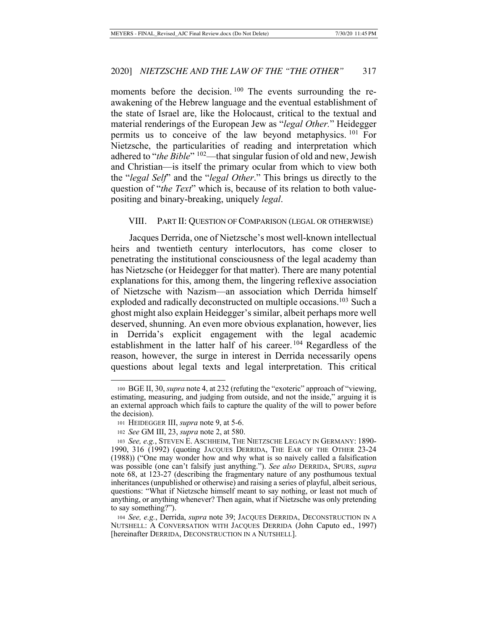moments before the decision. <sup>100</sup> The events surrounding the reawakening of the Hebrew language and the eventual establishment of the state of Israel are, like the Holocaust, critical to the textual and material renderings of the European Jew as "*legal Other.*" Heidegger permits us to conceive of the law beyond metaphysics. 101 For Nietzsche, the particularities of reading and interpretation which adhered to "*the Bible*" 102—that singular fusion of old and new, Jewish and Christian—is itself the primary ocular from which to view both the "*legal Self*" and the "*legal Other*." This brings us directly to the question of "*the Text*" which is, because of its relation to both valuepositing and binary-breaking, uniquely *legal*.

#### VIII. PART II: QUESTION OF COMPARISON (LEGAL OR OTHERWISE)

Jacques Derrida, one of Nietzsche's most well-known intellectual heirs and twentieth century interlocutors, has come closer to penetrating the institutional consciousness of the legal academy than has Nietzsche (or Heidegger for that matter). There are many potential explanations for this, among them, the lingering reflexive association of Nietzsche with Nazism—an association which Derrida himself exploded and radically deconstructed on multiple occasions.<sup>103</sup> Such a ghost might also explain Heidegger's similar, albeit perhaps more well deserved, shunning. An even more obvious explanation, however, lies in Derrida's explicit engagement with the legal academic establishment in the latter half of his career. 104 Regardless of the reason, however, the surge in interest in Derrida necessarily opens questions about legal texts and legal interpretation. This critical

<sup>100</sup> BGE II, 30, *supra* note 4, at 232 (refuting the "exoteric" approach of "viewing, estimating, measuring, and judging from outside, and not the inside," arguing it is an external approach which fails to capture the quality of the will to power before the decision).

<sup>101</sup> HEIDEGGER III, *supra* note 9, at 5-6.

<sup>102</sup> *See* GM III, 23, *supra* note 2, at 580.

<sup>103</sup> *See, e.g.*, STEVEN E. ASCHHEIM, THE NIETZSCHE LEGACY IN GERMANY: 1890- 1990, 316 (1992) (quoting JACQUES DERRIDA, THE EAR OF THE OTHER 23-24 (1988)) ("One may wonder how and why what is so naively called a falsification was possible (one can't falsify just anything."). *See also* DERRIDA, SPURS, *supra*  note 68, at 123-27 (describing the fragmentary nature of any posthumous textual inheritances (unpublished or otherwise) and raising a series of playful, albeit serious, questions: "What if Nietzsche himself meant to say nothing, or least not much of anything, or anything whenever? Then again, what if Nietzsche was only pretending to say something?").

<sup>104</sup> *See, e.g.*, Derrida, *supra* note 39; JACQUES DERRIDA, DECONSTRUCTION IN A NUTSHELL: A CONVERSATION WITH JACQUES DERRIDA (John Caputo ed., 1997) [hereinafter DERRIDA, DECONSTRUCTION IN A NUTSHELL].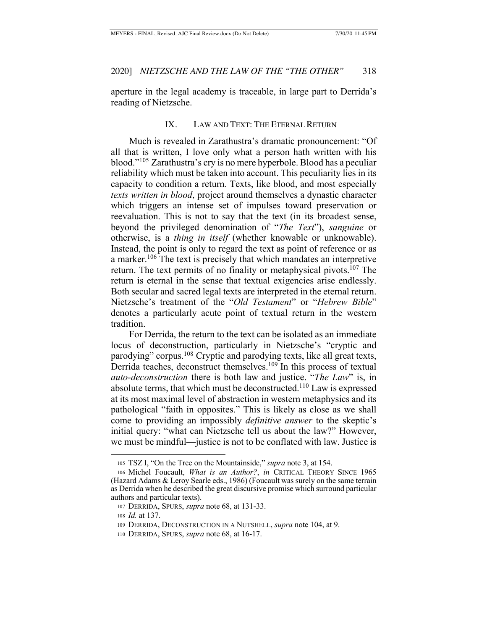aperture in the legal academy is traceable, in large part to Derrida's reading of Nietzsche.

#### IX. LAW AND TEXT: THE ETERNAL RETURN

Much is revealed in Zarathustra's dramatic pronouncement: "Of all that is written, I love only what a person hath written with his blood."105 Zarathustra's cry is no mere hyperbole. Blood has a peculiar reliability which must be taken into account. This peculiarity lies in its capacity to condition a return. Texts, like blood, and most especially *texts written in blood*, project around themselves a dynastic character which triggers an intense set of impulses toward preservation or reevaluation. This is not to say that the text (in its broadest sense, beyond the privileged denomination of "*The Text*"), *sanguine* or otherwise, is a *thing in itself* (whether knowable or unknowable). Instead, the point is only to regard the text as point of reference or as a marker.106 The text is precisely that which mandates an interpretive return. The text permits of no finality or metaphysical pivots.<sup>107</sup> The return is eternal in the sense that textual exigencies arise endlessly. Both secular and sacred legal texts are interpreted in the eternal return. Nietzsche's treatment of the "*Old Testament*" or "*Hebrew Bible*" denotes a particularly acute point of textual return in the western tradition.

For Derrida, the return to the text can be isolated as an immediate locus of deconstruction, particularly in Nietzsche's "cryptic and parodying" corpus.108 Cryptic and parodying texts, like all great texts, Derrida teaches, deconstruct themselves.<sup>109</sup> In this process of textual *auto-deconstruction* there is both law and justice. "*The Law*" is, in absolute terms, that which must be deconstructed.<sup>110</sup> Law is expressed at its most maximal level of abstraction in western metaphysics and its pathological "faith in opposites." This is likely as close as we shall come to providing an impossibly *definitive answer* to the skeptic's initial query: "what can Nietzsche tell us about the law?" However, we must be mindful—justice is not to be conflated with law. Justice is

<sup>105</sup> TSZ I, "On the Tree on the Mountainside," *supra* note 3, at 154.

<sup>106</sup> Michel Foucault, *What is an Author?*, *in* CRITICAL THEORY SINCE 1965 (Hazard Adams & Leroy Searle eds., 1986) (Foucault was surely on the same terrain as Derrida when he described the great discursive promise which surround particular authors and particular texts).

<sup>107</sup> DERRIDA, SPURS, *supra* note 68, at 131-33.

<sup>108</sup> *Id.* at 137.

<sup>109</sup> DERRIDA, DECONSTRUCTION IN A NUTSHELL, *supra* note 104, at 9.

<sup>110</sup> DERRIDA, SPURS, *supra* note 68, at 16-17.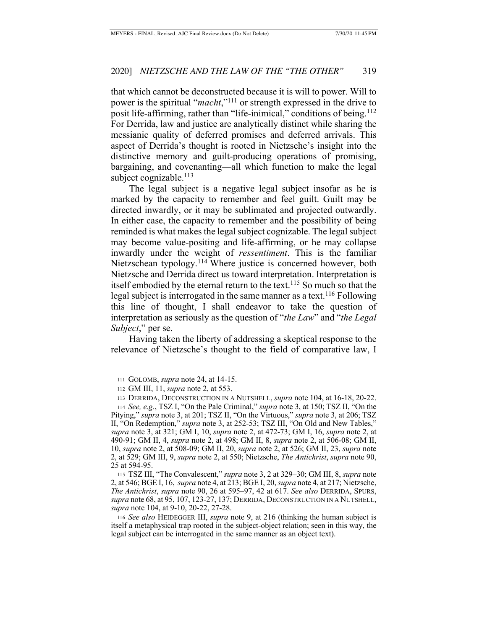that which cannot be deconstructed because it is will to power. Will to power is the spiritual "*macht*,"111 or strength expressed in the drive to posit life-affirming, rather than "life-inimical," conditions of being.<sup>112</sup> For Derrida, law and justice are analytically distinct while sharing the messianic quality of deferred promises and deferred arrivals. This aspect of Derrida's thought is rooted in Nietzsche's insight into the distinctive memory and guilt-producing operations of promising, bargaining, and covenanting—all which function to make the legal subject cognizable. $113$ 

The legal subject is a negative legal subject insofar as he is marked by the capacity to remember and feel guilt. Guilt may be directed inwardly, or it may be sublimated and projected outwardly. In either case, the capacity to remember and the possibility of being reminded is what makes the legal subject cognizable. The legal subject may become value-positing and life-affirming, or he may collapse inwardly under the weight of *ressentiment*. This is the familiar Nietzschean typology.114 Where justice is concerned however, both Nietzsche and Derrida direct us toward interpretation. Interpretation is itself embodied by the eternal return to the text.<sup>115</sup> So much so that the legal subject is interrogated in the same manner as a text.<sup>116</sup> Following this line of thought, I shall endeavor to take the question of interpretation as seriously as the question of "*the Law*" and "*the Legal Subject*," per se.

Having taken the liberty of addressing a skeptical response to the relevance of Nietzsche's thought to the field of comparative law, I

<sup>111</sup> GOLOMB, *supra* note 24, at 14-15.

<sup>112</sup> GM III, 11, *supra* note 2, at 553.

<sup>113</sup> DERRIDA, DECONSTRUCTION IN A NUTSHELL, *supra* note 104, at 16-18, 20-22.

<sup>114</sup> *See, e.g.*, TSZ I, "On the Pale Criminal," *supra* note 3, at 150; TSZ II, "On the Pitying," *supra* note 3, at 201; TSZ II, "On the Virtuous," *supra* note 3, at 206; TSZ II, "On Redemption," *supra* note 3, at 252-53; TSZ III, "On Old and New Tables," *supra* note 3, at 321; GM I, 10, *supra* note 2, at 472-73; GM I, 16, *supra* note 2, at 490-91; GM II, 4, *supra* note 2, at 498; GM II, 8, *supra* note 2, at 506-08; GM II, 10, *supra* note 2, at 508-09; GM II, 20, *supra* note 2, at 526; GM II, 23, *supra* note 2, at 529; GM III, 9, *supra* note 2, at 550; Nietzsche, *The Antichrist*, *supra* note 90, 25 at 594-95.

<sup>115</sup> TSZ III, "The Convalescent," *supra* note 3, 2 at 329–30; GM III, 8, *supra* note 2, at 546; BGE I, 16, *supra* note 4, at 213; BGE I, 20, *supra* note 4, at 217; Nietzsche, *The Antichrist*, *supra* note 90, 26 at 595–97, 42 at 617. *See also* DERRIDA, SPURS, *supra* note 68, at 95, 107, 123-27, 137; DERRIDA, DECONSTRUCTION IN A NUTSHELL, *supra* note 104, at 9-10, 20-22, 27-28.

<sup>116</sup> *See also* HEIDEGGER III, *supra* note 9, at 216 (thinking the human subject is itself a metaphysical trap rooted in the subject-object relation; seen in this way, the legal subject can be interrogated in the same manner as an object text).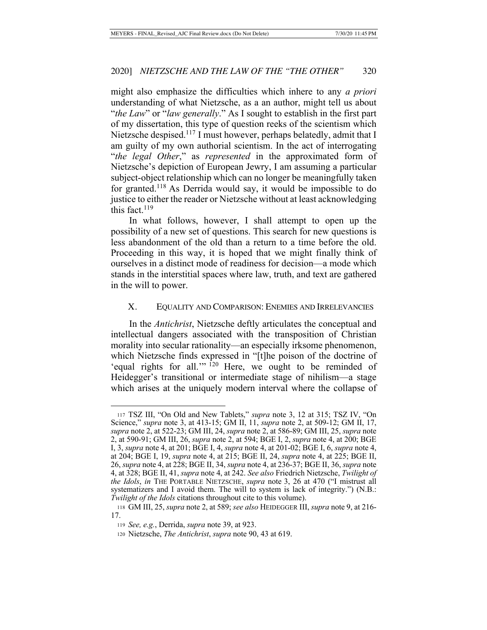might also emphasize the difficulties which inhere to any *a priori*  understanding of what Nietzsche, as a an author, might tell us about "*the Law*" or "*law generally*." As I sought to establish in the first part of my dissertation, this type of question reeks of the scientism which Nietzsche despised.<sup>117</sup> I must however, perhaps belatedly, admit that I am guilty of my own authorial scientism. In the act of interrogating "*the legal Other*," as *represented* in the approximated form of Nietzsche's depiction of European Jewry, I am assuming a particular subject-object relationship which can no longer be meaningfully taken for granted.118 As Derrida would say, it would be impossible to do justice to either the reader or Nietzsche without at least acknowledging this fact. $119$ 

In what follows, however, I shall attempt to open up the possibility of a new set of questions. This search for new questions is less abandonment of the old than a return to a time before the old. Proceeding in this way, it is hoped that we might finally think of ourselves in a distinct mode of readiness for decision—a mode which stands in the interstitial spaces where law, truth, and text are gathered in the will to power.

## X. EQUALITY AND COMPARISON: ENEMIES AND IRRELEVANCIES

In the *Antichrist*, Nietzsche deftly articulates the conceptual and intellectual dangers associated with the transposition of Christian morality into secular rationality—an especially irksome phenomenon, which Nietzsche finds expressed in "[t]he poison of the doctrine of 'equal rights for all.'" <sup>120</sup> Here, we ought to be reminded of Heidegger's transitional or intermediate stage of nihilism—a stage which arises at the uniquely modern interval where the collapse of

<sup>117</sup> TSZ III, "On Old and New Tablets," *supra* note 3, 12 at 315; TSZ IV, "On Science," *supra* note 3, at 413-15; GM II, 11, *supra* note 2, at 509-12; GM II, 17, *supra* note 2, at 522-23; GM III, 24, *supra* note 2, at 586-89; GM III, 25, *supra* note 2, at 590-91; GM III, 26, *supra* note 2, at 594; BGE I, 2, *supra* note 4, at 200; BGE I, 3, *supra* note 4, at 201; BGE I, 4, *supra* note 4, at 201-02; BGE I, 6, *supra* note 4, at 204; BGE I, 19, *supra* note 4, at 215; BGE II, 24, *supra* note 4, at 225; BGE II, 26, *supra* note 4, at 228; BGE II, 34, *supra* note 4, at 236-37; BGE II, 36, *supra* note 4, at 328; BGE II, 41, *supra* note 4, at 242. *See also* Friedrich Nietzsche, *Twilight of the Idols*, *in* THE PORTABLE NIETZSCHE, *supra* note 3, 26 at 470 ("I mistrust all systematizers and I avoid them. The will to system is lack of integrity.") (N.B.: *Twilight of the Idols* citations throughout cite to this volume).

<sup>118</sup> GM III, 25, *supra* note 2, at 589; *see also* HEIDEGGER III, *supra* note 9, at 216- 17.

<sup>119</sup> *See, e.g.*, Derrida, *supra* note 39, at 923.

<sup>120</sup> Nietzsche, *The Antichrist*, *supra* note 90, 43 at 619.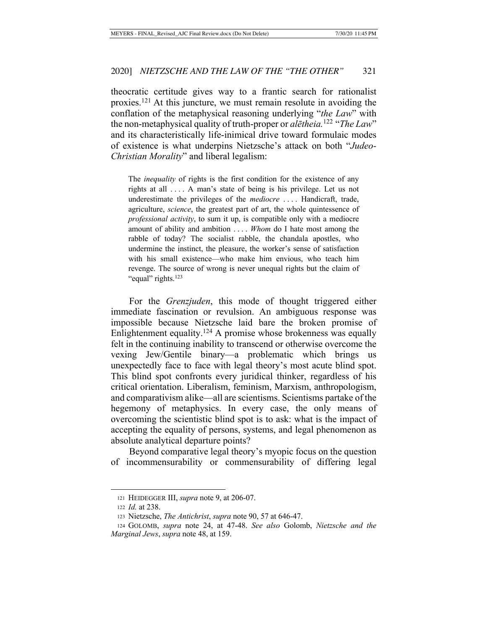theocratic certitude gives way to a frantic search for rationalist proxies.121 At this juncture, we must remain resolute in avoiding the conflation of the metaphysical reasoning underlying "*the Law*" with the non-metaphysical quality of truth-proper or *alētheia.*122 "*The Law*" and its characteristically life-inimical drive toward formulaic modes of existence is what underpins Nietzsche's attack on both "*Judeo-Christian Morality*" and liberal legalism:

The *inequality* of rights is the first condition for the existence of any rights at all . . . . A man's state of being is his privilege. Let us not underestimate the privileges of the *mediocre* . . . . Handicraft, trade, agriculture, *science*, the greatest part of art, the whole quintessence of *professional activity*, to sum it up, is compatible only with a mediocre amount of ability and ambition . . . . *Whom* do I hate most among the rabble of today? The socialist rabble, the chandala apostles, who undermine the instinct, the pleasure, the worker's sense of satisfaction with his small existence—who make him envious, who teach him revenge. The source of wrong is never unequal rights but the claim of "equal" rights.<sup>123</sup>

For the *Grenzjuden*, this mode of thought triggered either immediate fascination or revulsion. An ambiguous response was impossible because Nietzsche laid bare the broken promise of Enlightenment equality.<sup>124</sup> A promise whose brokenness was equally felt in the continuing inability to transcend or otherwise overcome the vexing Jew/Gentile binary—a problematic which brings us unexpectedly face to face with legal theory's most acute blind spot. This blind spot confronts every juridical thinker, regardless of his critical orientation. Liberalism, feminism, Marxism, anthropologism, and comparativism alike—all are scientisms. Scientisms partake of the hegemony of metaphysics. In every case, the only means of overcoming the scientistic blind spot is to ask: what is the impact of accepting the equality of persons, systems, and legal phenomenon as absolute analytical departure points?

Beyond comparative legal theory's myopic focus on the question of incommensurability or commensurability of differing legal

<sup>121</sup> HEIDEGGER III, *supra* note 9, at 206-07.

<sup>122</sup> *Id.* at 238.

<sup>123</sup> Nietzsche, *The Antichrist*, *supra* note 90, 57 at 646-47.

<sup>124</sup> GOLOMB, *supra* note 24, at 47-48. *See also* Golomb, *Nietzsche and the Marginal Jews*, *supra* note 48, at 159.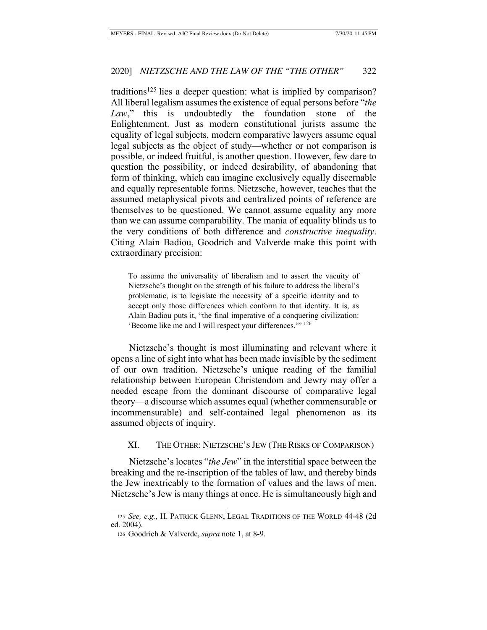traditions<sup>125</sup> lies a deeper question: what is implied by comparison? All liberal legalism assumes the existence of equal persons before "*the Law*,"—this is undoubtedly the foundation stone of the Enlightenment. Just as modern constitutional jurists assume the equality of legal subjects, modern comparative lawyers assume equal legal subjects as the object of study—whether or not comparison is possible, or indeed fruitful, is another question. However, few dare to question the possibility, or indeed desirability, of abandoning that form of thinking, which can imagine exclusively equally discernable and equally representable forms. Nietzsche, however, teaches that the assumed metaphysical pivots and centralized points of reference are themselves to be questioned. We cannot assume equality any more than we can assume comparability. The mania of equality blinds us to the very conditions of both difference and *constructive inequality*. Citing Alain Badiou, Goodrich and Valverde make this point with extraordinary precision:

To assume the universality of liberalism and to assert the vacuity of Nietzsche's thought on the strength of his failure to address the liberal's problematic, is to legislate the necessity of a specific identity and to accept only those differences which conform to that identity. It is, as Alain Badiou puts it, "the final imperative of a conquering civilization: 'Become like me and I will respect your differences.'" 126

Nietzsche's thought is most illuminating and relevant where it opens a line of sight into what has been made invisible by the sediment of our own tradition. Nietzsche's unique reading of the familial relationship between European Christendom and Jewry may offer a needed escape from the dominant discourse of comparative legal theory—a discourse which assumes equal (whether commensurable or incommensurable) and self-contained legal phenomenon as its assumed objects of inquiry.

### XI. THE OTHER: NIETZSCHE'S JEW (THE RISKS OF COMPARISON)

Nietzsche's locates "*the Jew*" in the interstitial space between the breaking and the re-inscription of the tables of law, and thereby binds the Jew inextricably to the formation of values and the laws of men. Nietzsche's Jew is many things at once. He is simultaneously high and

<sup>125</sup> *See, e.g.*, H. PATRICK GLENN, LEGAL TRADITIONS OF THE WORLD 44-48 (2d ed. 2004).

<sup>126</sup> Goodrich & Valverde, *supra* note 1, at 8-9.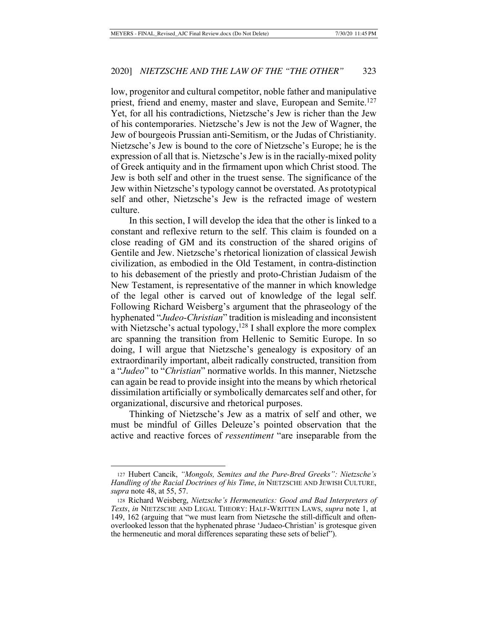low, progenitor and cultural competitor, noble father and manipulative priest, friend and enemy, master and slave, European and Semite.<sup>127</sup> Yet, for all his contradictions, Nietzsche's Jew is richer than the Jew of his contemporaries. Nietzsche's Jew is not the Jew of Wagner, the Jew of bourgeois Prussian anti-Semitism, or the Judas of Christianity. Nietzsche's Jew is bound to the core of Nietzsche's Europe; he is the expression of all that is. Nietzsche's Jew is in the racially-mixed polity of Greek antiquity and in the firmament upon which Christ stood. The Jew is both self and other in the truest sense. The significance of the Jew within Nietzsche's typology cannot be overstated. As prototypical self and other, Nietzsche's Jew is the refracted image of western culture.

In this section, I will develop the idea that the other is linked to a constant and reflexive return to the self. This claim is founded on a close reading of GM and its construction of the shared origins of Gentile and Jew. Nietzsche's rhetorical lionization of classical Jewish civilization, as embodied in the Old Testament, in contra-distinction to his debasement of the priestly and proto-Christian Judaism of the New Testament, is representative of the manner in which knowledge of the legal other is carved out of knowledge of the legal self. Following Richard Weisberg's argument that the phraseology of the hyphenated "*Judeo-Christian*" tradition is misleading and inconsistent with Nietzsche's actual typology, $128$  I shall explore the more complex arc spanning the transition from Hellenic to Semitic Europe. In so doing, I will argue that Nietzsche's genealogy is expository of an extraordinarily important, albeit radically constructed, transition from a "*Judeo*" to "*Christian*" normative worlds. In this manner, Nietzsche can again be read to provide insight into the means by which rhetorical dissimilation artificially or symbolically demarcates self and other, for organizational, discursive and rhetorical purposes.

Thinking of Nietzsche's Jew as a matrix of self and other, we must be mindful of Gilles Deleuze's pointed observation that the active and reactive forces of *ressentiment* "are inseparable from the

<sup>127</sup> Hubert Cancik, *"Mongols, Semites and the Pure-Bred Greeks": Nietzsche's Handling of the Racial Doctrines of his Time*, *in* NIETZSCHE AND JEWISH CULTURE, *supra* note 48, at 55, 57.

<sup>128</sup> Richard Weisberg, *Nietzsche's Hermeneutics: Good and Bad Interpreters of Texts*, *in* NIETZSCHE AND LEGAL THEORY: HALF-WRITTEN LAWS, *supra* note 1, at 149, 162 (arguing that "we must learn from Nietzsche the still-difficult and oftenoverlooked lesson that the hyphenated phrase 'Judaeo-Christian' is grotesque given the hermeneutic and moral differences separating these sets of belief").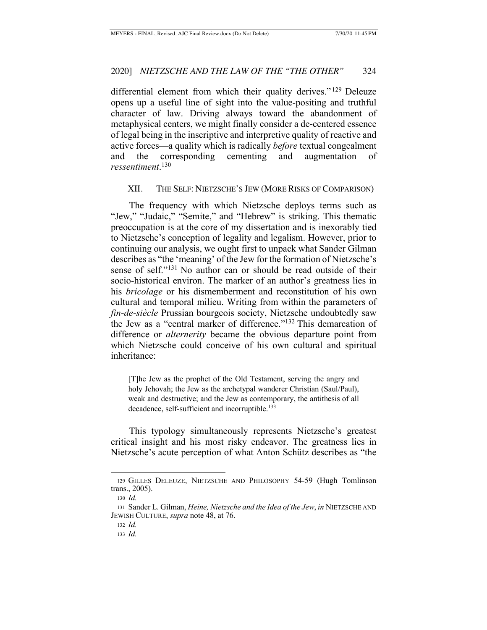differential element from which their quality derives." 129 Deleuze opens up a useful line of sight into the value-positing and truthful character of law. Driving always toward the abandonment of metaphysical centers, we might finally consider a de-centered essence of legal being in the inscriptive and interpretive quality of reactive and active forces—a quality which is radically *before* textual congealment and the corresponding cementing and augmentation of *ressentiment*. 130

### XII. THE SELF: NIETZSCHE'S JEW (MORE RISKS OF COMPARISON)

The frequency with which Nietzsche deploys terms such as "Jew," "Judaic," "Semite," and "Hebrew" is striking. This thematic preoccupation is at the core of my dissertation and is inexorably tied to Nietzsche's conception of legality and legalism. However, prior to continuing our analysis, we ought first to unpack what Sander Gilman describes as "the 'meaning' of the Jew for the formation of Nietzsche's sense of self."131 No author can or should be read outside of their socio-historical environ. The marker of an author's greatness lies in his *bricolage* or his dismemberment and reconstitution of his own cultural and temporal milieu. Writing from within the parameters of *fin-de-siècle* Prussian bourgeois society, Nietzsche undoubtedly saw the Jew as a "central marker of difference."132 This demarcation of difference or *alternerity* became the obvious departure point from which Nietzsche could conceive of his own cultural and spiritual inheritance:

[T]he Jew as the prophet of the Old Testament, serving the angry and holy Jehovah; the Jew as the archetypal wanderer Christian (Saul/Paul), weak and destructive; and the Jew as contemporary, the antithesis of all decadence, self-sufficient and incorruptible.<sup>133</sup>

This typology simultaneously represents Nietzsche's greatest critical insight and his most risky endeavor. The greatness lies in Nietzsche's acute perception of what Anton Schütz describes as "the

<sup>129</sup> GILLES DELEUZE, NIETZSCHE AND PHILOSOPHY 54-59 (Hugh Tomlinson trans., 2005).

<sup>130</sup> *Id.*

<sup>131</sup> Sander L. Gilman, *Heine, Nietzsche and the Idea of the Jew*, *in* NIETZSCHE AND JEWISH CULTURE, *supra* note 48, at 76.

<sup>132</sup> *Id.*

<sup>133</sup> *Id.*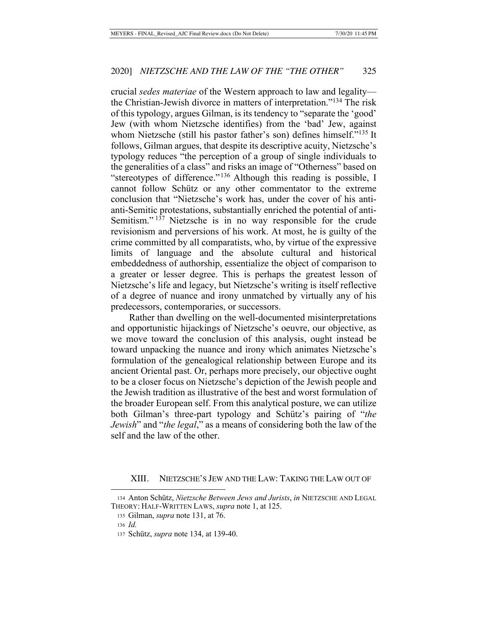crucial *sedes materiae* of the Western approach to law and legality the Christian-Jewish divorce in matters of interpretation."134 The risk of this typology, argues Gilman, is its tendency to "separate the 'good' Jew (with whom Nietzsche identifies) from the 'bad' Jew, against whom Nietzsche (still his pastor father's son) defines himself."<sup>135</sup> It follows, Gilman argues, that despite its descriptive acuity, Nietzsche's typology reduces "the perception of a group of single individuals to the generalities of a class" and risks an image of "Otherness" based on "stereotypes of difference." 136 Although this reading is possible, I cannot follow Schütz or any other commentator to the extreme conclusion that "Nietzsche's work has, under the cover of his antianti-Semitic protestations, substantially enriched the potential of anti-Semitism."<sup>137</sup> Nietzsche is in no way responsible for the crude revisionism and perversions of his work. At most, he is guilty of the crime committed by all comparatists, who, by virtue of the expressive limits of language and the absolute cultural and historical embeddedness of authorship, essentialize the object of comparison to a greater or lesser degree. This is perhaps the greatest lesson of Nietzsche's life and legacy, but Nietzsche's writing is itself reflective of a degree of nuance and irony unmatched by virtually any of his predecessors, contemporaries, or successors.

Rather than dwelling on the well-documented misinterpretations and opportunistic hijackings of Nietzsche's oeuvre, our objective, as we move toward the conclusion of this analysis, ought instead be toward unpacking the nuance and irony which animates Nietzsche's formulation of the genealogical relationship between Europe and its ancient Oriental past. Or, perhaps more precisely, our objective ought to be a closer focus on Nietzsche's depiction of the Jewish people and the Jewish tradition as illustrative of the best and worst formulation of the broader European self. From this analytical posture, we can utilize both Gilman's three-part typology and Schütz's pairing of "*the Jewish*" and "*the legal*," as a means of considering both the law of the self and the law of the other.

XIII. NIETZSCHE'S JEW AND THE LAW: TAKING THE LAW OUT OF

<sup>134</sup> Anton Schütz, *Nietzsche Between Jews and Jurists*, *in* NIETZSCHE AND LEGAL THEORY: HALF-WRITTEN LAWS, *supra* note 1, at 125.

<sup>135</sup> Gilman, *supra* note 131, at 76.

<sup>136</sup> *Id.*

<sup>137</sup> Schütz, *supra* note 134, at 139-40.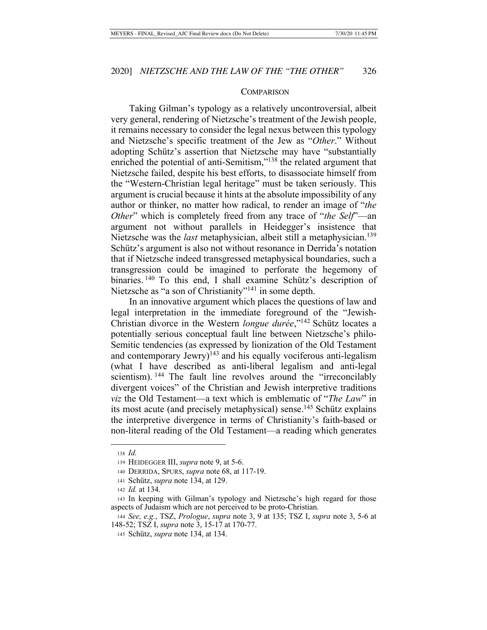#### **COMPARISON**

Taking Gilman's typology as a relatively uncontroversial, albeit very general, rendering of Nietzsche's treatment of the Jewish people, it remains necessary to consider the legal nexus between this typology and Nietzsche's specific treatment of the Jew as "*Other*." Without adopting Schütz's assertion that Nietzsche may have "substantially enriched the potential of anti-Semitism,"<sup>138</sup> the related argument that Nietzsche failed, despite his best efforts, to disassociate himself from the "Western-Christian legal heritage" must be taken seriously. This argument is crucial because it hints at the absolute impossibility of any author or thinker, no matter how radical, to render an image of "*the Other*" which is completely freed from any trace of "*the Self*"—an argument not without parallels in Heidegger's insistence that Nietzsche was the *last* metaphysician, albeit still a metaphysician.<sup>139</sup> Schütz's argument is also not without resonance in Derrida's notation that if Nietzsche indeed transgressed metaphysical boundaries, such a transgression could be imagined to perforate the hegemony of binaries. 140 To this end, I shall examine Schütz's description of Nietzsche as "a son of Christianity"<sup>141</sup> in some depth.

In an innovative argument which places the questions of law and legal interpretation in the immediate foreground of the "Jewish-Christian divorce in the Western *longue durée*,"142 Schütz locates a potentially serious conceptual fault line between Nietzsche's philo-Semitic tendencies (as expressed by lionization of the Old Testament and contemporary Jewry)<sup>143</sup> and his equally vociferous anti-legalism (what I have described as anti-liberal legalism and anti-legal scientism). <sup>144</sup> The fault line revolves around the "irreconcilably divergent voices" of the Christian and Jewish interpretive traditions *viz* the Old Testament—a text which is emblematic of "*The Law*" in its most acute (and precisely metaphysical) sense.<sup>145</sup> Schütz explains the interpretive divergence in terms of Christianity's faith-based or non-literal reading of the Old Testament—a reading which generates

<sup>138</sup> *Id.*

<sup>139</sup> HEIDEGGER III, *supra* note 9, at 5-6.

<sup>140</sup> DERRIDA, SPURS, *supra* note 68, at 117-19.

<sup>141</sup> Schütz, *supra* note 134, at 129.

<sup>142</sup> *Id.* at 134.

<sup>143</sup> In keeping with Gilman's typology and Nietzsche's high regard for those aspects of Judaism which are not perceived to be proto-Christian.

<sup>144</sup> *See, e.g.*, TSZ, *Prologue*, *supra* note 3, 9 at 135; TSZ I, *supra* note 3, 5-6 at 148-52; TSZ I, *supra* note 3, 15-17 at 170-77.

<sup>145</sup> Schütz, *supra* note 134, at 134.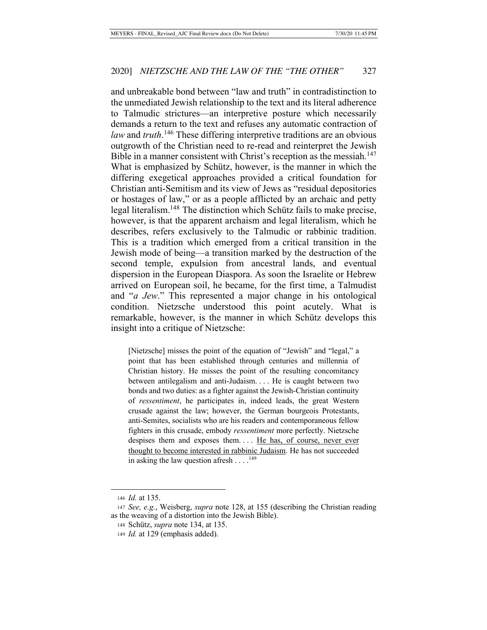and unbreakable bond between "law and truth" in contradistinction to the unmediated Jewish relationship to the text and its literal adherence to Talmudic strictures—an interpretive posture which necessarily demands a return to the text and refuses any automatic contraction of *law* and *truth*. 146 These differing interpretive traditions are an obvious outgrowth of the Christian need to re-read and reinterpret the Jewish Bible in a manner consistent with Christ's reception as the messiah.<sup>147</sup> What is emphasized by Schütz, however, is the manner in which the differing exegetical approaches provided a critical foundation for Christian anti-Semitism and its view of Jews as "residual depositories or hostages of law," or as a people afflicted by an archaic and petty legal literalism.148 The distinction which Schütz fails to make precise, however, is that the apparent archaism and legal literalism, which he describes, refers exclusively to the Talmudic or rabbinic tradition. This is a tradition which emerged from a critical transition in the Jewish mode of being—a transition marked by the destruction of the second temple, expulsion from ancestral lands, and eventual dispersion in the European Diaspora. As soon the Israelite or Hebrew arrived on European soil, he became, for the first time, a Talmudist and "*a Jew*." This represented a major change in his ontological condition. Nietzsche understood this point acutely. What is remarkable, however, is the manner in which Schütz develops this insight into a critique of Nietzsche:

[Nietzsche] misses the point of the equation of "Jewish" and "legal," a point that has been established through centuries and millennia of Christian history. He misses the point of the resulting concomitancy between antilegalism and anti-Judaism. . . . He is caught between two bonds and two duties: as a fighter against the Jewish-Christian continuity of *ressentiment*, he participates in, indeed leads, the great Western crusade against the law; however, the German bourgeois Protestants, anti-Semites, socialists who are his readers and contemporaneous fellow fighters in this crusade, embody *ressentiment* more perfectly. Nietzsche despises them and exposes them.... He has, of course, never ever thought to become interested in rabbinic Judaism. He has not succeeded in asking the law question afresh  $\dots$ .<sup>149</sup>

<sup>146</sup> *Id.* at 135.

<sup>147</sup> *See, e.g.*, Weisberg, *supra* note 128, at 155 (describing the Christian reading as the weaving of a distortion into the Jewish Bible).

<sup>148</sup> Schütz, *supra* note 134, at 135.

<sup>149</sup> *Id.* at 129 (emphasis added).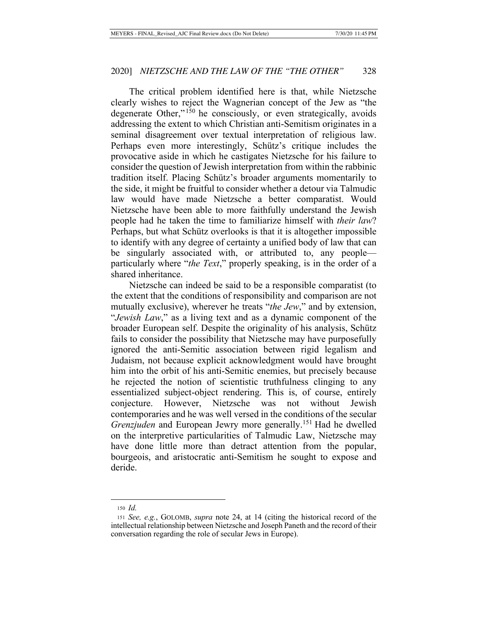The critical problem identified here is that, while Nietzsche clearly wishes to reject the Wagnerian concept of the Jew as "the degenerate Other,"<sup>150</sup> he consciously, or even strategically, avoids addressing the extent to which Christian anti-Semitism originates in a seminal disagreement over textual interpretation of religious law. Perhaps even more interestingly, Schütz's critique includes the provocative aside in which he castigates Nietzsche for his failure to consider the question of Jewish interpretation from within the rabbinic tradition itself. Placing Schütz's broader arguments momentarily to the side, it might be fruitful to consider whether a detour via Talmudic law would have made Nietzsche a better comparatist. Would Nietzsche have been able to more faithfully understand the Jewish people had he taken the time to familiarize himself with *their law*? Perhaps, but what Schütz overlooks is that it is altogether impossible to identify with any degree of certainty a unified body of law that can be singularly associated with, or attributed to, any people particularly where "*the Text*," properly speaking, is in the order of a shared inheritance.

Nietzsche can indeed be said to be a responsible comparatist (to the extent that the conditions of responsibility and comparison are not mutually exclusive), wherever he treats "*the Jew*," and by extension, "*Jewish Law*," as a living text and as a dynamic component of the broader European self. Despite the originality of his analysis, Schütz fails to consider the possibility that Nietzsche may have purposefully ignored the anti-Semitic association between rigid legalism and Judaism, not because explicit acknowledgment would have brought him into the orbit of his anti-Semitic enemies, but precisely because he rejected the notion of scientistic truthfulness clinging to any essentialized subject-object rendering. This is, of course, entirely conjecture. However, Nietzsche was not without Jewish contemporaries and he was well versed in the conditions of the secular *Grenzjuden* and European Jewry more generally.<sup>151</sup> Had he dwelled on the interpretive particularities of Talmudic Law, Nietzsche may have done little more than detract attention from the popular, bourgeois, and aristocratic anti-Semitism he sought to expose and deride.

<sup>150</sup> *Id.*

<sup>151</sup> *See, e.g.*, GOLOMB, *supra* note 24, at 14 (citing the historical record of the intellectual relationship between Nietzsche and Joseph Paneth and the record of their conversation regarding the role of secular Jews in Europe).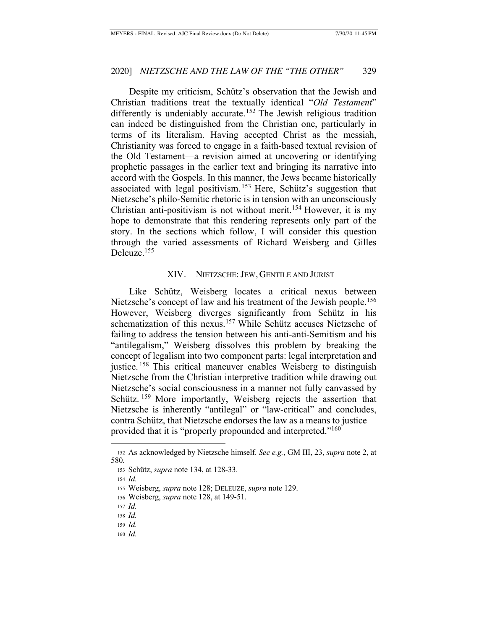Despite my criticism, Schütz's observation that the Jewish and Christian traditions treat the textually identical "*Old Testament*" differently is undeniably accurate.<sup>152</sup> The Jewish religious tradition can indeed be distinguished from the Christian one, particularly in terms of its literalism. Having accepted Christ as the messiah, Christianity was forced to engage in a faith-based textual revision of the Old Testament—a revision aimed at uncovering or identifying prophetic passages in the earlier text and bringing its narrative into accord with the Gospels. In this manner, the Jews became historically associated with legal positivism. 153 Here, Schütz's suggestion that Nietzsche's philo-Semitic rhetoric is in tension with an unconsciously Christian anti-positivism is not without merit.<sup>154</sup> However, it is my hope to demonstrate that this rendering represents only part of the story. In the sections which follow, I will consider this question through the varied assessments of Richard Weisberg and Gilles Deleuze.<sup>155</sup>

#### XIV. NIETZSCHE: JEW, GENTILE AND JURIST

Like Schütz, Weisberg locates a critical nexus between Nietzsche's concept of law and his treatment of the Jewish people.<sup>156</sup> However, Weisberg diverges significantly from Schütz in his schematization of this nexus.<sup>157</sup> While Schütz accuses Nietzsche of failing to address the tension between his anti-anti-Semitism and his "antilegalism," Weisberg dissolves this problem by breaking the concept of legalism into two component parts: legal interpretation and justice.<sup>158</sup> This critical maneuver enables Weisberg to distinguish Nietzsche from the Christian interpretive tradition while drawing out Nietzsche's social consciousness in a manner not fully canvassed by Schütz. <sup>159</sup> More importantly, Weisberg rejects the assertion that Nietzsche is inherently "antilegal" or "law-critical" and concludes, contra Schütz, that Nietzsche endorses the law as a means to justice provided that it is "properly propounded and interpreted."<sup>160</sup>

<sup>152</sup> As acknowledged by Nietzsche himself. *See e.g.*, GM III, 23, *supra* note 2, at 580.

<sup>153</sup> Schütz, *supra* note 134, at 128-33.

<sup>154</sup> *Id.*

<sup>155</sup> Weisberg, *supra* note 128; DELEUZE, *supra* note 129.

<sup>156</sup> Weisberg, *supra* note 128, at 149-51.

<sup>157</sup> *Id.*

<sup>158</sup> *Id.*

<sup>159</sup> *Id.*

<sup>160</sup> *Id.*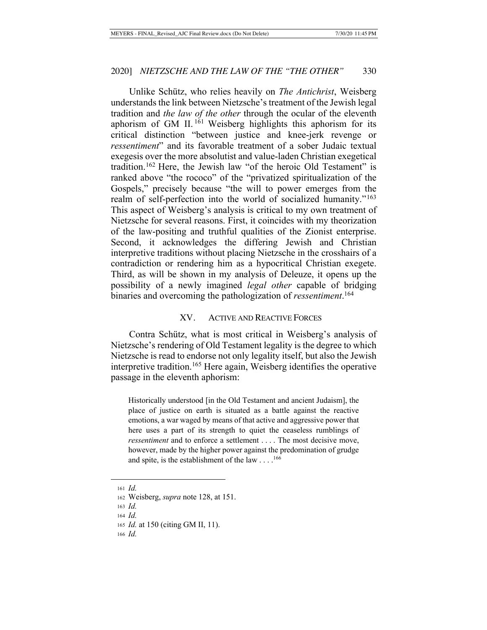Unlike Schütz, who relies heavily on *The Antichrist*, Weisberg understands the link between Nietzsche's treatment of the Jewish legal tradition and *the law of the other* through the ocular of the eleventh aphorism of GM II. 161 Weisberg highlights this aphorism for its critical distinction "between justice and knee-jerk revenge or *ressentiment*" and its favorable treatment of a sober Judaic textual exegesis over the more absolutist and value-laden Christian exegetical tradition.162 Here, the Jewish law "of the heroic Old Testament" is ranked above "the rococo" of the "privatized spiritualization of the Gospels," precisely because "the will to power emerges from the realm of self-perfection into the world of socialized humanity."<sup>163</sup> This aspect of Weisberg's analysis is critical to my own treatment of Nietzsche for several reasons. First, it coincides with my theorization of the law-positing and truthful qualities of the Zionist enterprise. Second, it acknowledges the differing Jewish and Christian interpretive traditions without placing Nietzsche in the crosshairs of a contradiction or rendering him as a hypocritical Christian exegete. Third, as will be shown in my analysis of Deleuze, it opens up the possibility of a newly imagined *legal other* capable of bridging binaries and overcoming the pathologization of *ressentiment*. 164

#### XV. ACTIVE AND REACTIVE FORCES

Contra Schütz, what is most critical in Weisberg's analysis of Nietzsche's rendering of Old Testament legality is the degree to which Nietzsche is read to endorse not only legality itself, but also the Jewish interpretive tradition.<sup>165</sup> Here again, Weisberg identifies the operative passage in the eleventh aphorism:

Historically understood [in the Old Testament and ancient Judaism], the place of justice on earth is situated as a battle against the reactive emotions, a war waged by means of that active and aggressive power that here uses a part of its strength to quiet the ceaseless rumblings of *ressentiment* and to enforce a settlement . . . . The most decisive move, however, made by the higher power against the predomination of grudge and spite, is the establishment of the law  $\dots$ .<sup>166</sup>

<sup>161</sup> *Id.*

<sup>162</sup> Weisberg, *supra* note 128, at 151.

<sup>163</sup> *Id.*

<sup>164</sup> *Id.*

<sup>165</sup> *Id.* at 150 (citing GM II, 11).

<sup>166</sup> *Id.*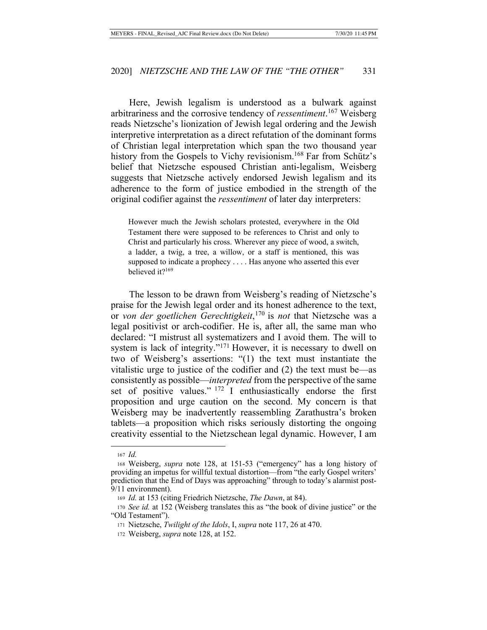Here, Jewish legalism is understood as a bulwark against arbitrariness and the corrosive tendency of *ressentiment*. 167 Weisberg reads Nietzsche's lionization of Jewish legal ordering and the Jewish interpretive interpretation as a direct refutation of the dominant forms of Christian legal interpretation which span the two thousand year history from the Gospels to Vichy revisionism.<sup>168</sup> Far from Schütz's belief that Nietzsche espoused Christian anti-legalism, Weisberg suggests that Nietzsche actively endorsed Jewish legalism and its adherence to the form of justice embodied in the strength of the original codifier against the *ressentiment* of later day interpreters:

However much the Jewish scholars protested, everywhere in the Old Testament there were supposed to be references to Christ and only to Christ and particularly his cross. Wherever any piece of wood, a switch, a ladder, a twig, a tree, a willow, or a staff is mentioned, this was supposed to indicate a prophecy . . . . Has anyone who asserted this ever believed it?<sup>169</sup>

The lesson to be drawn from Weisberg's reading of Nietzsche's praise for the Jewish legal order and its honest adherence to the text, or *von der goetlichen Gerechtigkeit*, <sup>170</sup> is *not* that Nietzsche was a legal positivist or arch-codifier. He is, after all, the same man who declared: "I mistrust all systematizers and I avoid them. The will to system is lack of integrity."<sup>171</sup> However, it is necessary to dwell on two of Weisberg's assertions: "(1) the text must instantiate the vitalistic urge to justice of the codifier and (2) the text must be—as consistently as possible—*interpreted* from the perspective of the same set of positive values." <sup>172</sup> I enthusiastically endorse the first proposition and urge caution on the second. My concern is that Weisberg may be inadvertently reassembling Zarathustra's broken tablets—a proposition which risks seriously distorting the ongoing creativity essential to the Nietzschean legal dynamic. However, I am

<sup>167</sup> *Id.*

<sup>168</sup> Weisberg, *supra* note 128, at 151-53 ("emergency" has a long history of providing an impetus for willful textual distortion—from "the early Gospel writers' prediction that the End of Days was approaching" through to today's alarmist post-9/11 environment).

<sup>169</sup> *Id.* at 153 (citing Friedrich Nietzsche, *The Dawn*, at 84).

<sup>170</sup> *See id.* at 152 (Weisberg translates this as "the book of divine justice" or the "Old Testament").

<sup>171</sup> Nietzsche, *Twilight of the Idols*, I, *supra* note 117, 26 at 470.

<sup>172</sup> Weisberg, *supra* note 128, at 152.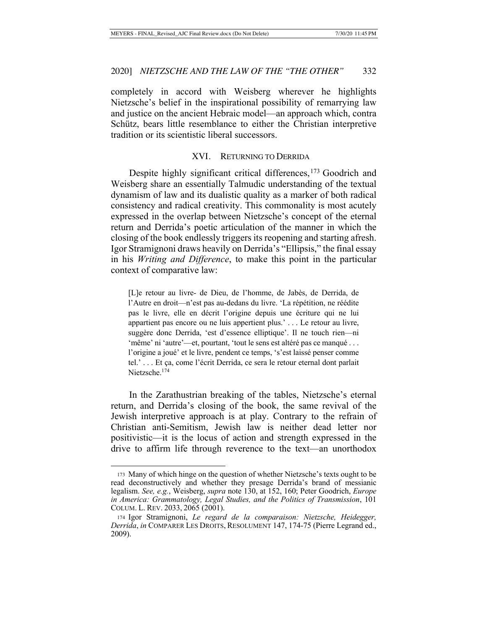completely in accord with Weisberg wherever he highlights Nietzsche's belief in the inspirational possibility of remarrying law and justice on the ancient Hebraic model—an approach which, contra Schütz, bears little resemblance to either the Christian interpretive tradition or its scientistic liberal successors.

### XVI. RETURNING TO DERRIDA

Despite highly significant critical differences,<sup>173</sup> Goodrich and Weisberg share an essentially Talmudic understanding of the textual dynamism of law and its dualistic quality as a marker of both radical consistency and radical creativity. This commonality is most acutely expressed in the overlap between Nietzsche's concept of the eternal return and Derrida's poetic articulation of the manner in which the closing of the book endlessly triggers its reopening and starting afresh. Igor Stramignoni draws heavily on Derrida's "Ellipsis," the final essay in his *Writing and Difference*, to make this point in the particular context of comparative law:

[L]e retour au livre- de Dieu, de l'homme, de Jabès, de Derrida, de l'Autre en droit—n'est pas au-dedans du livre. 'La répétition, ne réédite pas le livre, elle en décrit l'origine depuis une écriture qui ne lui appartient pas encore ou ne luis appertient plus.' . . . Le retour au livre, suggère donc Derrida, 'est d'essence elliptique'. Il ne touch rien—ni 'même' ni 'autre'—et, pourtant, 'tout le sens est altéré pas ce manqué . . . l'origine a joué' et le livre, pendent ce temps, 's'est laissé penser comme tel.' . . . Et ça, come l'écrit Derrida, ce sera le retour eternal dont parlait Nietzsche.174

In the Zarathustrian breaking of the tables, Nietzsche's eternal return, and Derrida's closing of the book, the same revival of the Jewish interpretive approach is at play. Contrary to the refrain of Christian anti-Semitism, Jewish law is neither dead letter nor positivistic—it is the locus of action and strength expressed in the drive to affirm life through reverence to the text—an unorthodox

<sup>173</sup> Many of which hinge on the question of whether Nietzsche's texts ought to be read deconstructively and whether they presage Derrida's brand of messianic legalism. *See, e.g.*, Weisberg, *supra* note 130, at 152, 160; Peter Goodrich, *Europe in America: Grammatology, Legal Studies, and the Politics of Transmission*, 101 COLUM. L. REV. 2033, 2065 (2001).

<sup>174</sup> Igor Stramignoni, *Le regard de la comparaison: Nietzsche, Heidegger, Derrida*, *in* COMPARER LES DROITS, RESOLUMENT 147, 174-75 (Pierre Legrand ed., 2009).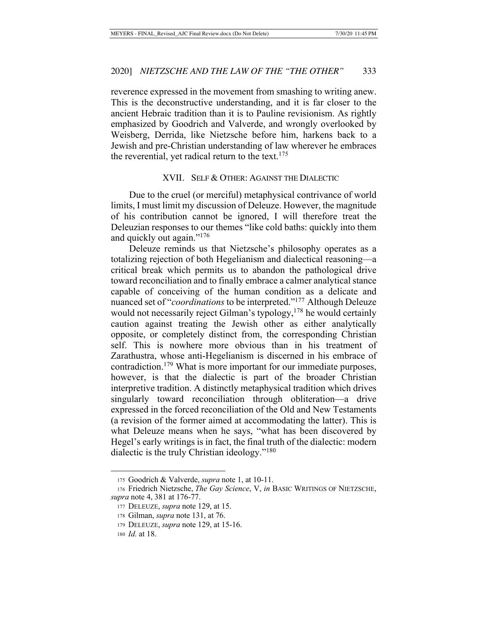reverence expressed in the movement from smashing to writing anew. This is the deconstructive understanding, and it is far closer to the ancient Hebraic tradition than it is to Pauline revisionism. As rightly emphasized by Goodrich and Valverde, and wrongly overlooked by Weisberg, Derrida, like Nietzsche before him, harkens back to a Jewish and pre-Christian understanding of law wherever he embraces the reverential, yet radical return to the text.  $175$ 

#### XVII. SELF & OTHER: AGAINST THE DIALECTIC

Due to the cruel (or merciful) metaphysical contrivance of world limits, I must limit my discussion of Deleuze. However, the magnitude of his contribution cannot be ignored, I will therefore treat the Deleuzian responses to our themes "like cold baths: quickly into them and quickly out again."176

Deleuze reminds us that Nietzsche's philosophy operates as a totalizing rejection of both Hegelianism and dialectical reasoning—a critical break which permits us to abandon the pathological drive toward reconciliation and to finally embrace a calmer analytical stance capable of conceiving of the human condition as a delicate and nuanced set of "*coordinations* to be interpreted."177 Although Deleuze would not necessarily reject Gilman's typology,<sup>178</sup> he would certainly caution against treating the Jewish other as either analytically opposite, or completely distinct from, the corresponding Christian self. This is nowhere more obvious than in his treatment of Zarathustra, whose anti-Hegelianism is discerned in his embrace of contradiction.179 What is more important for our immediate purposes, however, is that the dialectic is part of the broader Christian interpretive tradition. A distinctly metaphysical tradition which drives singularly toward reconciliation through obliteration—a drive expressed in the forced reconciliation of the Old and New Testaments (a revision of the former aimed at accommodating the latter). This is what Deleuze means when he says, "what has been discovered by Hegel's early writings is in fact, the final truth of the dialectic: modern dialectic is the truly Christian ideology."180

<sup>175</sup> Goodrich & Valverde, *supra* note 1, at 10-11.

<sup>176</sup> Friedrich Nietzsche, *The Gay Science*, V, *in* BASIC WRITINGS OF NIETZSCHE, *supra* note 4, 381 at 176-77.

<sup>177</sup> DELEUZE, *supra* note 129, at 15.

<sup>178</sup> Gilman, *supra* note 131, at 76.

<sup>179</sup> DELEUZE, *supra* note 129, at 15-16.

<sup>180</sup> *Id.* at 18.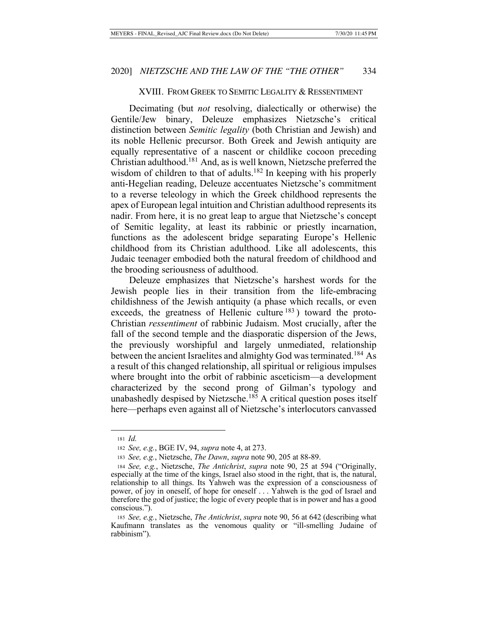## XVIII. FROM GREEK TO SEMITIC LEGALITY & RESSENTIMENT

Decimating (but *not* resolving, dialectically or otherwise) the Gentile/Jew binary, Deleuze emphasizes Nietzsche's critical distinction between *Semitic legality* (both Christian and Jewish) and its noble Hellenic precursor. Both Greek and Jewish antiquity are equally representative of a nascent or childlike cocoon preceding Christian adulthood.181 And, as is well known, Nietzsche preferred the wisdom of children to that of adults.<sup>182</sup> In keeping with his properly anti-Hegelian reading, Deleuze accentuates Nietzsche's commitment to a reverse teleology in which the Greek childhood represents the apex of European legal intuition and Christian adulthood represents its nadir. From here, it is no great leap to argue that Nietzsche's concept of Semitic legality, at least its rabbinic or priestly incarnation, functions as the adolescent bridge separating Europe's Hellenic childhood from its Christian adulthood. Like all adolescents, this Judaic teenager embodied both the natural freedom of childhood and the brooding seriousness of adulthood.

Deleuze emphasizes that Nietzsche's harshest words for the Jewish people lies in their transition from the life-embracing childishness of the Jewish antiquity (a phase which recalls, or even exceeds, the greatness of Hellenic culture  $183$ ) toward the proto-Christian *ressentiment* of rabbinic Judaism. Most crucially, after the fall of the second temple and the diasporatic dispersion of the Jews, the previously worshipful and largely unmediated, relationship between the ancient Israelites and almighty God was terminated.<sup>184</sup> As a result of this changed relationship, all spiritual or religious impulses where brought into the orbit of rabbinic asceticism—a development characterized by the second prong of Gilman's typology and unabashedly despised by Nietzsche.<sup>185</sup> A critical question poses itself here—perhaps even against all of Nietzsche's interlocutors canvassed

<sup>181</sup> *Id.*

<sup>182</sup> *See, e.g.*, BGE IV, 94, *supra* note 4, at 273.

<sup>183</sup> *See, e.g.*, Nietzsche, *The Dawn*, *supra* note 90, 205 at 88-89.

<sup>184</sup> *See, e.g.*, Nietzsche, *The Antichrist*, *supra* note 90, 25 at 594 ("Originally, especially at the time of the kings, Israel also stood in the right, that is, the natural, relationship to all things. Its Yahweh was the expression of a consciousness of power, of joy in oneself, of hope for oneself . . . Yahweh is the god of Israel and therefore the god of justice; the logic of every people that is in power and has a good conscious.").

<sup>185</sup> *See, e.g.*, Nietzsche, *The Antichrist*, *supra* note 90, 56 at 642 (describing what Kaufmann translates as the venomous quality or "ill-smelling Judaine of rabbinism").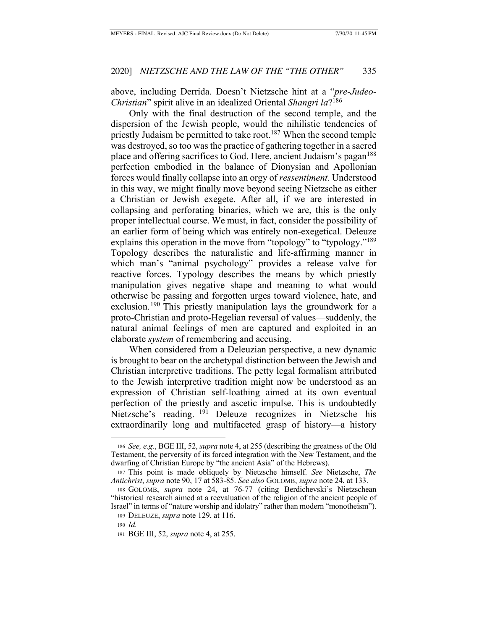above, including Derrida. Doesn't Nietzsche hint at a "*pre-Judeo-Christian*" spirit alive in an idealized Oriental *Shangri la*?186

Only with the final destruction of the second temple, and the dispersion of the Jewish people, would the nihilistic tendencies of priestly Judaism be permitted to take root.<sup>187</sup> When the second temple was destroyed, so too was the practice of gathering together in a sacred place and offering sacrifices to God. Here, ancient Judaism's pagan<sup>188</sup> perfection embodied in the balance of Dionysian and Apollonian forces would finally collapse into an orgy of *ressentiment*. Understood in this way, we might finally move beyond seeing Nietzsche as either a Christian or Jewish exegete. After all, if we are interested in collapsing and perforating binaries, which we are, this is the only proper intellectual course. We must, in fact, consider the possibility of an earlier form of being which was entirely non-exegetical. Deleuze explains this operation in the move from "topology" to "typology."<sup>189</sup> Topology describes the naturalistic and life-affirming manner in which man's "animal psychology" provides a release valve for reactive forces. Typology describes the means by which priestly manipulation gives negative shape and meaning to what would otherwise be passing and forgotten urges toward violence, hate, and exclusion.190 This priestly manipulation lays the groundwork for a proto-Christian and proto-Hegelian reversal of values—suddenly, the natural animal feelings of men are captured and exploited in an elaborate *system* of remembering and accusing.

When considered from a Deleuzian perspective, a new dynamic is brought to bear on the archetypal distinction between the Jewish and Christian interpretive traditions. The petty legal formalism attributed to the Jewish interpretive tradition might now be understood as an expression of Christian self-loathing aimed at its own eventual perfection of the priestly and ascetic impulse. This is undoubtedly Nietzsche's reading. 191 Deleuze recognizes in Nietzsche his extraordinarily long and multifaceted grasp of history—a history

<sup>186</sup> *See, e.g.*, BGE III, 52, *supra* note 4, at 255 (describing the greatness of the Old Testament, the perversity of its forced integration with the New Testament, and the dwarfing of Christian Europe by "the ancient Asia" of the Hebrews).

<sup>187</sup> This point is made obliquely by Nietzsche himself. *See* Nietzsche, *The Antichrist*, *supra* note 90, 17 at 583-85. *See also* GOLOMB, *supra* note 24, at 133.

<sup>188</sup> GOLOMB, *supra* note 24, at 76-77 (citing Berdichevski's Nietzschean "historical research aimed at a reevaluation of the religion of the ancient people of Israel" in terms of "nature worship and idolatry" rather than modern "monotheism").

<sup>189</sup> DELEUZE, *supra* note 129, at 116.

<sup>190</sup> *Id.*

<sup>191</sup> BGE III, 52, *supra* note 4, at 255.